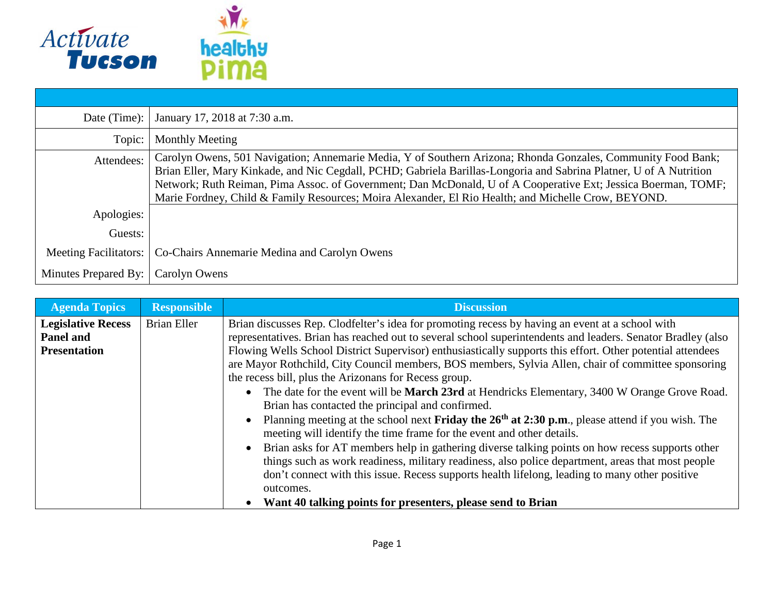

| Date (Time): $\vert$         | January 17, 2018 at 7:30 a.m.                                                                                                                                                                                                                                                                                                                                                                                                                              |
|------------------------------|------------------------------------------------------------------------------------------------------------------------------------------------------------------------------------------------------------------------------------------------------------------------------------------------------------------------------------------------------------------------------------------------------------------------------------------------------------|
| Topic:                       | Monthly Meeting                                                                                                                                                                                                                                                                                                                                                                                                                                            |
| Attendees:                   | Carolyn Owens, 501 Navigation; Annemarie Media, Y of Southern Arizona; Rhonda Gonzales, Community Food Bank;<br>Brian Eller, Mary Kinkade, and Nic Cegdall, PCHD; Gabriela Barillas-Longoria and Sabrina Platner, U of A Nutrition<br>Network; Ruth Reiman, Pima Assoc. of Government; Dan McDonald, U of A Cooperative Ext; Jessica Boerman, TOMF;<br>Marie Fordney, Child & Family Resources; Moira Alexander, El Rio Health; and Michelle Crow, BEYOND. |
| Apologies:                   |                                                                                                                                                                                                                                                                                                                                                                                                                                                            |
| Guests:                      |                                                                                                                                                                                                                                                                                                                                                                                                                                                            |
| <b>Meeting Facilitators:</b> | Co-Chairs Annemarie Medina and Carolyn Owens                                                                                                                                                                                                                                                                                                                                                                                                               |
| Minutes Prepared By:         | Carolyn Owens                                                                                                                                                                                                                                                                                                                                                                                                                                              |

| <b>Agenda Topics</b>      | <b>Responsible</b> | <b>Discussion</b>                                                                                                                                                                            |
|---------------------------|--------------------|----------------------------------------------------------------------------------------------------------------------------------------------------------------------------------------------|
| <b>Legislative Recess</b> | <b>Brian Eller</b> | Brian discusses Rep. Clodfelter's idea for promoting recess by having an event at a school with                                                                                              |
| <b>Panel and</b>          |                    | representatives. Brian has reached out to several school superintendents and leaders. Senator Bradley (also                                                                                  |
| <b>Presentation</b>       |                    | Flowing Wells School District Supervisor) enthusiastically supports this effort. Other potential attendees                                                                                   |
|                           |                    | are Mayor Rothchild, City Council members, BOS members, Sylvia Allen, chair of committee sponsoring                                                                                          |
|                           |                    | the recess bill, plus the Arizonans for Recess group.                                                                                                                                        |
|                           |                    | • The date for the event will be <b>March 23rd</b> at Hendricks Elementary, 3400 W Orange Grove Road.                                                                                        |
|                           |                    | Brian has contacted the principal and confirmed.                                                                                                                                             |
|                           |                    | Planning meeting at the school next <b>Friday the 26<sup>th</sup> at 2:30 p.m.</b> , please attend if you wish. The<br>meeting will identify the time frame for the event and other details. |
|                           |                    | Brian asks for AT members help in gathering diverse talking points on how recess supports other                                                                                              |
|                           |                    | things such as work readiness, military readiness, also police department, areas that most people                                                                                            |
|                           |                    | don't connect with this issue. Recess supports health lifelong, leading to many other positive                                                                                               |
|                           |                    | outcomes.                                                                                                                                                                                    |
|                           |                    | Want 40 talking points for presenters, please send to Brian                                                                                                                                  |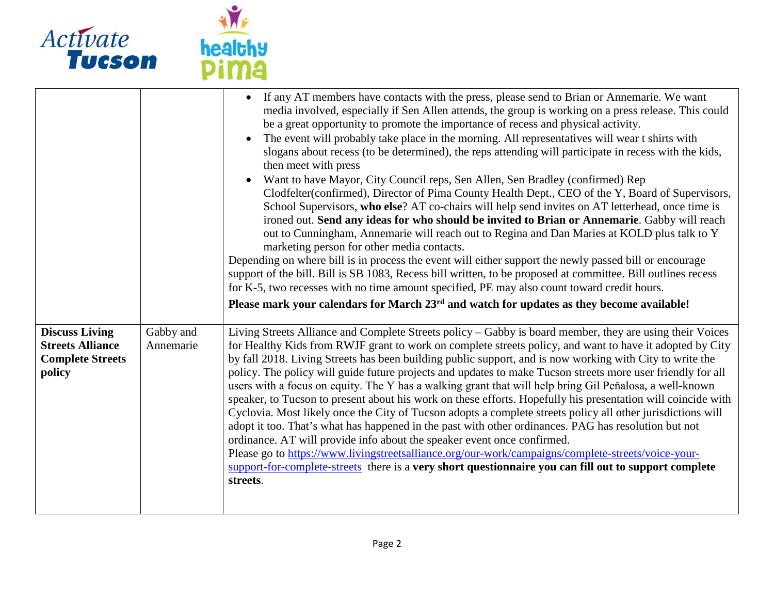

|                                                                                       |                        | • If any AT members have contacts with the press, please send to Brian or Annemarie. We want<br>media involved, especially if Sen Allen attends, the group is working on a press release. This could<br>be a great opportunity to promote the importance of recess and physical activity.<br>The event will probably take place in the morning. All representatives will wear t shirts with<br>slogans about recess (to be determined), the reps attending will participate in recess with the kids,<br>then meet with press<br>Want to have Mayor, City Council reps, Sen Allen, Sen Bradley (confirmed) Rep<br>Clodfelter(confirmed), Director of Pima County Health Dept., CEO of the Y, Board of Supervisors,<br>School Supervisors, who else? AT co-chairs will help send invites on AT letterhead, once time is<br>ironed out. Send any ideas for who should be invited to Brian or Annemarie. Gabby will reach<br>out to Cunningham, Annemarie will reach out to Regina and Dan Maries at KOLD plus talk to Y<br>marketing person for other media contacts.                                                                                                                                      |
|---------------------------------------------------------------------------------------|------------------------|---------------------------------------------------------------------------------------------------------------------------------------------------------------------------------------------------------------------------------------------------------------------------------------------------------------------------------------------------------------------------------------------------------------------------------------------------------------------------------------------------------------------------------------------------------------------------------------------------------------------------------------------------------------------------------------------------------------------------------------------------------------------------------------------------------------------------------------------------------------------------------------------------------------------------------------------------------------------------------------------------------------------------------------------------------------------------------------------------------------------------------------------------------------------------------------------------------|
|                                                                                       |                        | Depending on where bill is in process the event will either support the newly passed bill or encourage<br>support of the bill. Bill is SB 1083, Recess bill written, to be proposed at committee. Bill outlines recess<br>for K-5, two recesses with no time amount specified, PE may also count toward credit hours.                                                                                                                                                                                                                                                                                                                                                                                                                                                                                                                                                                                                                                                                                                                                                                                                                                                                                   |
|                                                                                       |                        | Please mark your calendars for March 23 <sup>rd</sup> and watch for updates as they become available!                                                                                                                                                                                                                                                                                                                                                                                                                                                                                                                                                                                                                                                                                                                                                                                                                                                                                                                                                                                                                                                                                                   |
| <b>Discuss Living</b><br><b>Streets Alliance</b><br><b>Complete Streets</b><br>policy | Gabby and<br>Annemarie | Living Streets Alliance and Complete Streets policy – Gabby is board member, they are using their Voices<br>for Healthy Kids from RWJF grant to work on complete streets policy, and want to have it adopted by City<br>by fall 2018. Living Streets has been building public support, and is now working with City to write the<br>policy. The policy will guide future projects and updates to make Tucson streets more user friendly for all<br>users with a focus on equity. The Y has a walking grant that will help bring Gil Peňalosa, a well-known<br>speaker, to Tucson to present about his work on these efforts. Hopefully his presentation will coincide with<br>Cyclovia. Most likely once the City of Tucson adopts a complete streets policy all other jurisdictions will<br>adopt it too. That's what has happened in the past with other ordinances. PAG has resolution but not<br>ordinance. AT will provide info about the speaker event once confirmed.<br>Please go to https://www.livingstreetsalliance.org/our-work/campaigns/complete-streets/voice-your-<br>support-for-complete-streets there is a very short questionnaire you can fill out to support complete<br>streets. |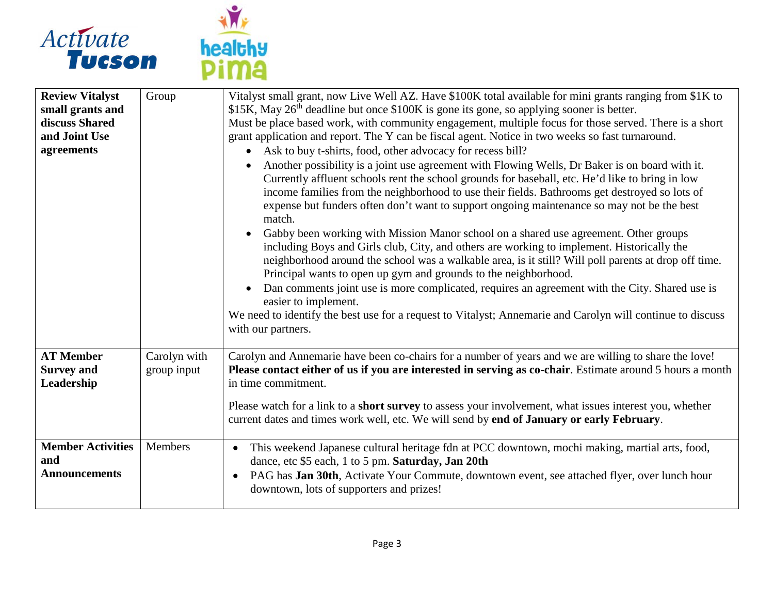



| <b>Review Vitalyst</b>                                  | Group        | Vitalyst small grant, now Live Well AZ. Have \$100K total available for mini grants ranging from \$1K to                                                                                                                                                                                                                                                                                                                                                                                                                                                                                                                                                                                                                                                                                                                                                                                                                                                                                                                                                            |
|---------------------------------------------------------|--------------|---------------------------------------------------------------------------------------------------------------------------------------------------------------------------------------------------------------------------------------------------------------------------------------------------------------------------------------------------------------------------------------------------------------------------------------------------------------------------------------------------------------------------------------------------------------------------------------------------------------------------------------------------------------------------------------------------------------------------------------------------------------------------------------------------------------------------------------------------------------------------------------------------------------------------------------------------------------------------------------------------------------------------------------------------------------------|
| small grants and                                        |              | \$15K, May 26 <sup>th</sup> deadline but once \$100K is gone its gone, so applying sooner is better.                                                                                                                                                                                                                                                                                                                                                                                                                                                                                                                                                                                                                                                                                                                                                                                                                                                                                                                                                                |
| discuss Shared                                          |              | Must be place based work, with community engagement, multiple focus for those served. There is a short                                                                                                                                                                                                                                                                                                                                                                                                                                                                                                                                                                                                                                                                                                                                                                                                                                                                                                                                                              |
| and Joint Use                                           |              | grant application and report. The Y can be fiscal agent. Notice in two weeks so fast turnaround.                                                                                                                                                                                                                                                                                                                                                                                                                                                                                                                                                                                                                                                                                                                                                                                                                                                                                                                                                                    |
| agreements                                              |              | Ask to buy t-shirts, food, other advocacy for recess bill?                                                                                                                                                                                                                                                                                                                                                                                                                                                                                                                                                                                                                                                                                                                                                                                                                                                                                                                                                                                                          |
|                                                         |              | Another possibility is a joint use agreement with Flowing Wells, Dr Baker is on board with it.<br>Currently affluent schools rent the school grounds for baseball, etc. He'd like to bring in low<br>income families from the neighborhood to use their fields. Bathrooms get destroyed so lots of<br>expense but funders often don't want to support ongoing maintenance so may not be the best<br>match.<br>Gabby been working with Mission Manor school on a shared use agreement. Other groups<br>$\bullet$<br>including Boys and Girls club, City, and others are working to implement. Historically the<br>neighborhood around the school was a walkable area, is it still? Will poll parents at drop off time.<br>Principal wants to open up gym and grounds to the neighborhood.<br>Dan comments joint use is more complicated, requires an agreement with the City. Shared use is<br>$\bullet$<br>easier to implement.<br>We need to identify the best use for a request to Vitalyst; Annemarie and Carolyn will continue to discuss<br>with our partners. |
| <b>AT Member</b>                                        | Carolyn with | Carolyn and Annemarie have been co-chairs for a number of years and we are willing to share the love!                                                                                                                                                                                                                                                                                                                                                                                                                                                                                                                                                                                                                                                                                                                                                                                                                                                                                                                                                               |
| <b>Survey and</b><br>Leadership                         | group input  | Please contact either of us if you are interested in serving as co-chair. Estimate around 5 hours a month<br>in time commitment.                                                                                                                                                                                                                                                                                                                                                                                                                                                                                                                                                                                                                                                                                                                                                                                                                                                                                                                                    |
|                                                         |              | Please watch for a link to a short survey to assess your involvement, what issues interest you, whether<br>current dates and times work well, etc. We will send by end of January or early February.                                                                                                                                                                                                                                                                                                                                                                                                                                                                                                                                                                                                                                                                                                                                                                                                                                                                |
| <b>Member Activities</b><br>and<br><b>Announcements</b> | Members      | This weekend Japanese cultural heritage fdn at PCC downtown, mochi making, martial arts, food,<br>$\bullet$<br>dance, etc \$5 each, 1 to 5 pm. Saturday, Jan 20th<br>PAG has Jan 30th, Activate Your Commute, downtown event, see attached flyer, over lunch hour<br>$\bullet$<br>downtown, lots of supporters and prizes!                                                                                                                                                                                                                                                                                                                                                                                                                                                                                                                                                                                                                                                                                                                                          |
|                                                         |              |                                                                                                                                                                                                                                                                                                                                                                                                                                                                                                                                                                                                                                                                                                                                                                                                                                                                                                                                                                                                                                                                     |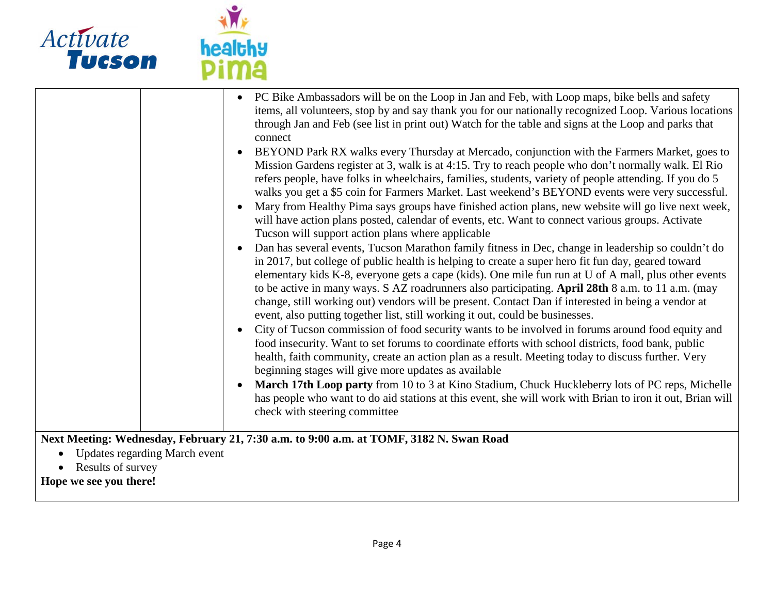

|           |                                      | PC Bike Ambassadors will be on the Loop in Jan and Feb, with Loop maps, bike bells and safety<br>items, all volunteers, stop by and say thank you for our nationally recognized Loop. Various locations<br>through Jan and Feb (see list in print out) Watch for the table and signs at the Loop and parks that<br>connect<br>BEYOND Park RX walks every Thursday at Mercado, conjunction with the Farmers Market, goes to<br>$\bullet$<br>Mission Gardens register at 3, walk is at 4:15. Try to reach people who don't normally walk. El Rio<br>refers people, have folks in wheelchairs, families, students, variety of people attending. If you do 5<br>walks you get a \$5 coin for Farmers Market. Last weekend's BEYOND events were very successful.<br>Mary from Healthy Pima says groups have finished action plans, new website will go live next week,<br>will have action plans posted, calendar of events, etc. Want to connect various groups. Activate<br>Tucson will support action plans where applicable<br>Dan has several events, Tucson Marathon family fitness in Dec, change in leadership so couldn't do<br>in 2017, but college of public health is helping to create a super hero fit fun day, geared toward<br>elementary kids K-8, everyone gets a cape (kids). One mile fun run at U of A mall, plus other events<br>to be active in many ways. S AZ roadrunners also participating. April 28th 8 a.m. to 11 a.m. (may<br>change, still working out) vendors will be present. Contact Dan if interested in being a vendor at<br>event, also putting together list, still working it out, could be businesses.<br>City of Tucson commission of food security wants to be involved in forums around food equity and<br>$\bullet$<br>food insecurity. Want to set forums to coordinate efforts with school districts, food bank, public<br>health, faith community, create an action plan as a result. Meeting today to discuss further. Very<br>beginning stages will give more updates as available |
|-----------|--------------------------------------|---------------------------------------------------------------------------------------------------------------------------------------------------------------------------------------------------------------------------------------------------------------------------------------------------------------------------------------------------------------------------------------------------------------------------------------------------------------------------------------------------------------------------------------------------------------------------------------------------------------------------------------------------------------------------------------------------------------------------------------------------------------------------------------------------------------------------------------------------------------------------------------------------------------------------------------------------------------------------------------------------------------------------------------------------------------------------------------------------------------------------------------------------------------------------------------------------------------------------------------------------------------------------------------------------------------------------------------------------------------------------------------------------------------------------------------------------------------------------------------------------------------------------------------------------------------------------------------------------------------------------------------------------------------------------------------------------------------------------------------------------------------------------------------------------------------------------------------------------------------------------------------------------------------------------------------------------------------------------------------------------------------------------------|
|           |                                      |                                                                                                                                                                                                                                                                                                                                                                                                                                                                                                                                                                                                                                                                                                                                                                                                                                                                                                                                                                                                                                                                                                                                                                                                                                                                                                                                                                                                                                                                                                                                                                                                                                                                                                                                                                                                                                                                                                                                                                                                                                 |
|           |                                      | March 17th Loop party from 10 to 3 at Kino Stadium, Chuck Huckleberry lots of PC reps, Michelle<br>has people who want to do aid stations at this event, she will work with Brian to iron it out, Brian will                                                                                                                                                                                                                                                                                                                                                                                                                                                                                                                                                                                                                                                                                                                                                                                                                                                                                                                                                                                                                                                                                                                                                                                                                                                                                                                                                                                                                                                                                                                                                                                                                                                                                                                                                                                                                    |
|           |                                      | check with steering committee                                                                                                                                                                                                                                                                                                                                                                                                                                                                                                                                                                                                                                                                                                                                                                                                                                                                                                                                                                                                                                                                                                                                                                                                                                                                                                                                                                                                                                                                                                                                                                                                                                                                                                                                                                                                                                                                                                                                                                                                   |
|           |                                      | Next Meeting: Wednesday, February 21, 7:30 a.m. to 9:00 a.m. at TOMF, 3182 N. Swan Road                                                                                                                                                                                                                                                                                                                                                                                                                                                                                                                                                                                                                                                                                                                                                                                                                                                                                                                                                                                                                                                                                                                                                                                                                                                                                                                                                                                                                                                                                                                                                                                                                                                                                                                                                                                                                                                                                                                                         |
| $\bullet$ | <b>Updates regarding March event</b> |                                                                                                                                                                                                                                                                                                                                                                                                                                                                                                                                                                                                                                                                                                                                                                                                                                                                                                                                                                                                                                                                                                                                                                                                                                                                                                                                                                                                                                                                                                                                                                                                                                                                                                                                                                                                                                                                                                                                                                                                                                 |

• Results of survey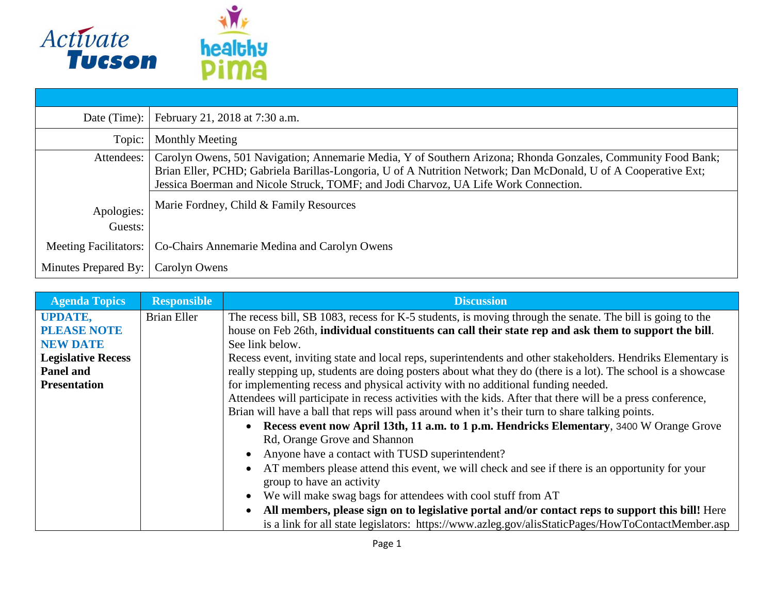

| Date (Time):                 | February 21, 2018 at 7:30 a.m.                                                                                                                                                                                                                                                                                        |
|------------------------------|-----------------------------------------------------------------------------------------------------------------------------------------------------------------------------------------------------------------------------------------------------------------------------------------------------------------------|
| Topic:                       | <b>Monthly Meeting</b>                                                                                                                                                                                                                                                                                                |
| Attendees:                   | Carolyn Owens, 501 Navigation; Annemarie Media, Y of Southern Arizona; Rhonda Gonzales, Community Food Bank;<br>Brian Eller, PCHD; Gabriela Barillas-Longoria, U of A Nutrition Network; Dan McDonald, U of A Cooperative Ext;<br>Jessica Boerman and Nicole Struck, TOMF; and Jodi Charvoz, UA Life Work Connection. |
| Apologies:<br>Guests:        | Marie Fordney, Child & Family Resources                                                                                                                                                                                                                                                                               |
| <b>Meeting Facilitators:</b> | Co-Chairs Annemarie Medina and Carolyn Owens                                                                                                                                                                                                                                                                          |
| Minutes Prepared By:         | Carolyn Owens                                                                                                                                                                                                                                                                                                         |

| <b>Agenda Topics</b>      | <b>Responsible</b> | <b>Discussion</b>                                                                                             |
|---------------------------|--------------------|---------------------------------------------------------------------------------------------------------------|
| <b>UPDATE,</b>            | <b>Brian Eller</b> | The recess bill, SB 1083, recess for K-5 students, is moving through the senate. The bill is going to the     |
| <b>PLEASE NOTE</b>        |                    | house on Feb 26th, individual constituents can call their state rep and ask them to support the bill.         |
| <b>NEW DATE</b>           |                    | See link below.                                                                                               |
| <b>Legislative Recess</b> |                    | Recess event, inviting state and local reps, superintendents and other stakeholders. Hendriks Elementary is   |
| Panel and                 |                    | really stepping up, students are doing posters about what they do (there is a lot). The school is a showcase  |
| <b>Presentation</b>       |                    | for implementing recess and physical activity with no additional funding needed.                              |
|                           |                    | Attendees will participate in recess activities with the kids. After that there will be a press conference,   |
|                           |                    | Brian will have a ball that reps will pass around when it's their turn to share talking points.               |
|                           |                    | • Recess event now April 13th, 11 a.m. to 1 p.m. Hendricks Elementary, 3400 W Orange Grove                    |
|                           |                    | Rd, Orange Grove and Shannon                                                                                  |
|                           |                    | Anyone have a contact with TUSD superintendent?                                                               |
|                           |                    | AT members please attend this event, we will check and see if there is an opportunity for your                |
|                           |                    | group to have an activity                                                                                     |
|                           |                    | We will make swag bags for attendees with cool stuff from AT<br>$\bullet$                                     |
|                           |                    | All members, please sign on to legislative portal and/or contact reps to support this bill! Here<br>$\bullet$ |
|                           |                    | is a link for all state legislators: https://www.azleg.gov/alisStaticPages/HowToContactMember.asp             |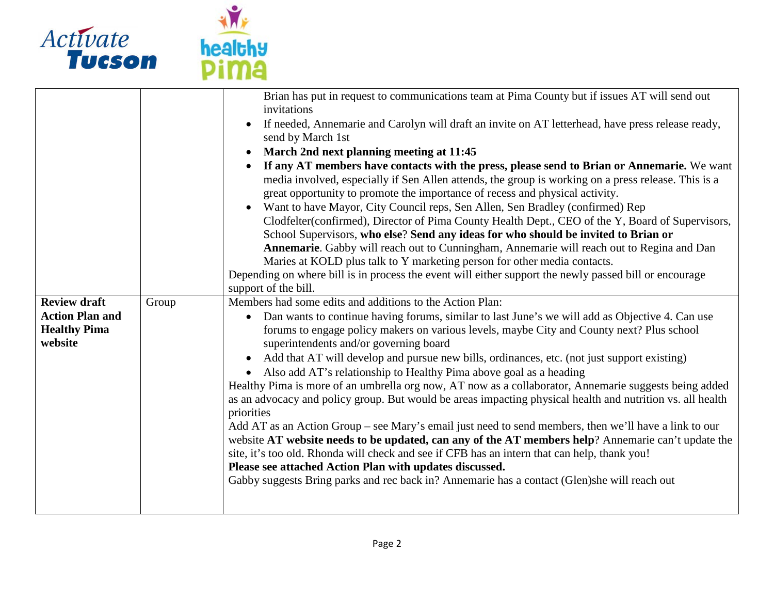

| <b>Review draft</b><br><b>Action Plan and</b><br><b>Healthy Pima</b><br>website | Group | Brian has put in request to communications team at Pima County but if issues AT will send out<br>invitations<br>If needed, Annemarie and Carolyn will draft an invite on AT letterhead, have press release ready,<br>send by March 1st<br>March 2nd next planning meeting at 11:45<br>$\bullet$<br>If any AT members have contacts with the press, please send to Brian or Annemarie. We want<br>$\bullet$<br>media involved, especially if Sen Allen attends, the group is working on a press release. This is a<br>great opportunity to promote the importance of recess and physical activity.<br>Want to have Mayor, City Council reps, Sen Allen, Sen Bradley (confirmed) Rep<br>$\bullet$<br>Clodfelter(confirmed), Director of Pima County Health Dept., CEO of the Y, Board of Supervisors,<br>School Supervisors, who else? Send any ideas for who should be invited to Brian or<br>Annemarie. Gabby will reach out to Cunningham, Annemarie will reach out to Regina and Dan<br>Maries at KOLD plus talk to Y marketing person for other media contacts.<br>Depending on where bill is in process the event will either support the newly passed bill or encourage<br>support of the bill.<br>Members had some edits and additions to the Action Plan:<br>Dan wants to continue having forums, similar to last June's we will add as Objective 4. Can use<br>$\bullet$<br>forums to engage policy makers on various levels, maybe City and County next? Plus school<br>superintendents and/or governing board<br>Add that AT will develop and pursue new bills, ordinances, etc. (not just support existing)<br>$\bullet$<br>Also add AT's relationship to Healthy Pima above goal as a heading<br>$\bullet$ |
|---------------------------------------------------------------------------------|-------|------------------------------------------------------------------------------------------------------------------------------------------------------------------------------------------------------------------------------------------------------------------------------------------------------------------------------------------------------------------------------------------------------------------------------------------------------------------------------------------------------------------------------------------------------------------------------------------------------------------------------------------------------------------------------------------------------------------------------------------------------------------------------------------------------------------------------------------------------------------------------------------------------------------------------------------------------------------------------------------------------------------------------------------------------------------------------------------------------------------------------------------------------------------------------------------------------------------------------------------------------------------------------------------------------------------------------------------------------------------------------------------------------------------------------------------------------------------------------------------------------------------------------------------------------------------------------------------------------------------------------------------------------------------------------------------------------------------------|
|                                                                                 |       |                                                                                                                                                                                                                                                                                                                                                                                                                                                                                                                                                                                                                                                                                                                                                                                                                                                                                                                                                                                                                                                                                                                                                                                                                                                                                                                                                                                                                                                                                                                                                                                                                                                                                                                        |
|                                                                                 |       |                                                                                                                                                                                                                                                                                                                                                                                                                                                                                                                                                                                                                                                                                                                                                                                                                                                                                                                                                                                                                                                                                                                                                                                                                                                                                                                                                                                                                                                                                                                                                                                                                                                                                                                        |
|                                                                                 |       |                                                                                                                                                                                                                                                                                                                                                                                                                                                                                                                                                                                                                                                                                                                                                                                                                                                                                                                                                                                                                                                                                                                                                                                                                                                                                                                                                                                                                                                                                                                                                                                                                                                                                                                        |
|                                                                                 |       |                                                                                                                                                                                                                                                                                                                                                                                                                                                                                                                                                                                                                                                                                                                                                                                                                                                                                                                                                                                                                                                                                                                                                                                                                                                                                                                                                                                                                                                                                                                                                                                                                                                                                                                        |
|                                                                                 |       | Healthy Pima is more of an umbrella org now, AT now as a collaborator, Annemarie suggests being added<br>as an advocacy and policy group. But would be areas impacting physical health and nutrition vs. all health                                                                                                                                                                                                                                                                                                                                                                                                                                                                                                                                                                                                                                                                                                                                                                                                                                                                                                                                                                                                                                                                                                                                                                                                                                                                                                                                                                                                                                                                                                    |
|                                                                                 |       | priorities                                                                                                                                                                                                                                                                                                                                                                                                                                                                                                                                                                                                                                                                                                                                                                                                                                                                                                                                                                                                                                                                                                                                                                                                                                                                                                                                                                                                                                                                                                                                                                                                                                                                                                             |
|                                                                                 |       |                                                                                                                                                                                                                                                                                                                                                                                                                                                                                                                                                                                                                                                                                                                                                                                                                                                                                                                                                                                                                                                                                                                                                                                                                                                                                                                                                                                                                                                                                                                                                                                                                                                                                                                        |
|                                                                                 |       | Add AT as an Action Group - see Mary's email just need to send members, then we'll have a link to our                                                                                                                                                                                                                                                                                                                                                                                                                                                                                                                                                                                                                                                                                                                                                                                                                                                                                                                                                                                                                                                                                                                                                                                                                                                                                                                                                                                                                                                                                                                                                                                                                  |
|                                                                                 |       | website AT website needs to be updated, can any of the AT members help? Annemarie can't update the                                                                                                                                                                                                                                                                                                                                                                                                                                                                                                                                                                                                                                                                                                                                                                                                                                                                                                                                                                                                                                                                                                                                                                                                                                                                                                                                                                                                                                                                                                                                                                                                                     |
|                                                                                 |       | site, it's too old. Rhonda will check and see if CFB has an intern that can help, thank you!<br>Please see attached Action Plan with updates discussed.                                                                                                                                                                                                                                                                                                                                                                                                                                                                                                                                                                                                                                                                                                                                                                                                                                                                                                                                                                                                                                                                                                                                                                                                                                                                                                                                                                                                                                                                                                                                                                |
|                                                                                 |       | Gabby suggests Bring parks and rec back in? Annemarie has a contact (Glen)she will reach out                                                                                                                                                                                                                                                                                                                                                                                                                                                                                                                                                                                                                                                                                                                                                                                                                                                                                                                                                                                                                                                                                                                                                                                                                                                                                                                                                                                                                                                                                                                                                                                                                           |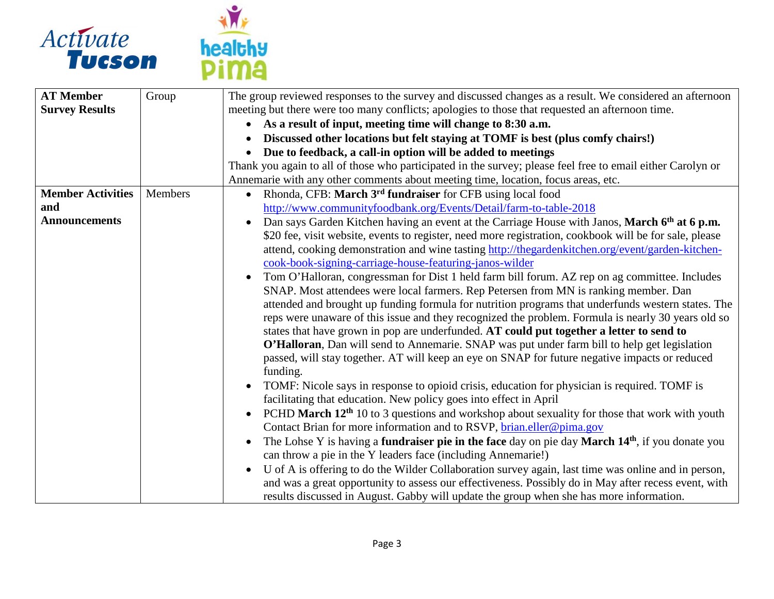



| <b>AT Member</b>         | Group   | The group reviewed responses to the survey and discussed changes as a result. We considered an afternoon                    |
|--------------------------|---------|-----------------------------------------------------------------------------------------------------------------------------|
| <b>Survey Results</b>    |         | meeting but there were too many conflicts; apologies to those that requested an afternoon time.                             |
|                          |         | As a result of input, meeting time will change to 8:30 a.m.<br>$\bullet$                                                    |
|                          |         | Discussed other locations but felt staying at TOMF is best (plus comfy chairs!)                                             |
|                          |         | Due to feedback, a call-in option will be added to meetings<br>$\bullet$                                                    |
|                          |         | Thank you again to all of those who participated in the survey; please feel free to email either Carolyn or                 |
|                          |         | Annemarie with any other comments about meeting time, location, focus areas, etc.                                           |
| <b>Member Activities</b> | Members | Rhonda, CFB: March 3 <sup>rd</sup> fundraiser for CFB using local food<br>$\bullet$                                         |
| and                      |         | http://www.communityfoodbank.org/Events/Detail/farm-to-table-2018                                                           |
| <b>Announcements</b>     |         | Dan says Garden Kitchen having an event at the Carriage House with Janos, March 6th at 6 p.m.<br>$\bullet$                  |
|                          |         | \$20 fee, visit website, events to register, need more registration, cookbook will be for sale, please                      |
|                          |         | attend, cooking demonstration and wine tasting http://thegardenkitchen.org/event/garden-kitchen-                            |
|                          |         | cook-book-signing-carriage-house-featuring-janos-wilder                                                                     |
|                          |         | Tom O'Halloran, congressman for Dist 1 held farm bill forum. AZ rep on ag committee. Includes<br>$\bullet$                  |
|                          |         | SNAP. Most attendees were local farmers. Rep Petersen from MN is ranking member. Dan                                        |
|                          |         | attended and brought up funding formula for nutrition programs that underfunds western states. The                          |
|                          |         | reps were unaware of this issue and they recognized the problem. Formula is nearly 30 years old so                          |
|                          |         | states that have grown in pop are underfunded. AT could put together a letter to send to                                    |
|                          |         | O'Halloran, Dan will send to Annemarie. SNAP was put under farm bill to help get legislation                                |
|                          |         | passed, will stay together. AT will keep an eye on SNAP for future negative impacts or reduced                              |
|                          |         | funding.                                                                                                                    |
|                          |         | TOMF: Nicole says in response to opioid crisis, education for physician is required. TOMF is<br>$\bullet$                   |
|                          |         | facilitating that education. New policy goes into effect in April                                                           |
|                          |         | PCHD March 12 <sup>th</sup> 10 to 3 questions and workshop about sexuality for those that work with youth<br>$\bullet$      |
|                          |         | Contact Brian for more information and to RSVP, brian.eller@pima.gov                                                        |
|                          |         | The Lohse Y is having a <b>fundraiser pie in the face</b> day on pie day <b>March 14th</b> , if you donate you<br>$\bullet$ |
|                          |         | can throw a pie in the Y leaders face (including Annemarie!)                                                                |
|                          |         | U of A is offering to do the Wilder Collaboration survey again, last time was online and in person,<br>$\bullet$            |
|                          |         | and was a great opportunity to assess our effectiveness. Possibly do in May after recess event, with                        |
|                          |         | results discussed in August. Gabby will update the group when she has more information.                                     |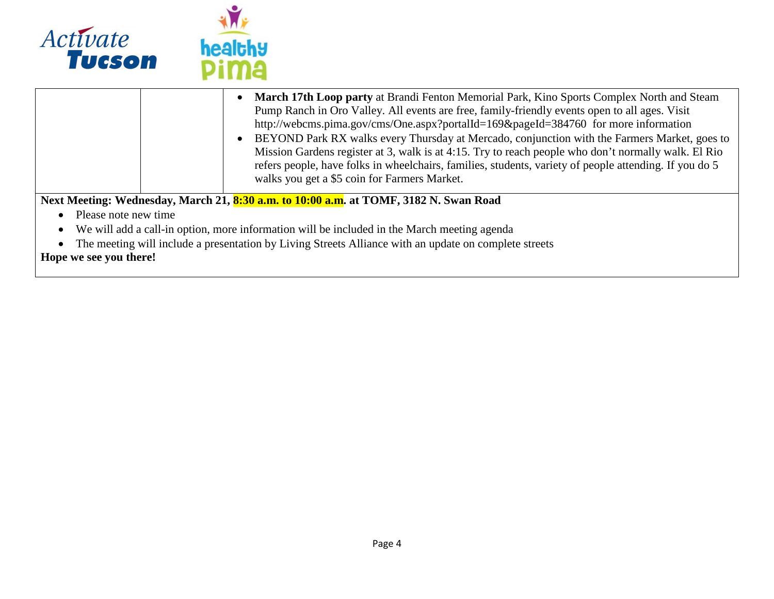

|                                                                                                       | <b>March 17th Loop party at Brandi Fenton Memorial Park, Kino Sports Complex North and Steam</b><br>Pump Ranch in Oro Valley. All events are free, family-friendly events open to all ages. Visit<br>http://webcms.pima.gov/cms/One.aspx?portalId=169&pageId=384760 for more information<br>BEYOND Park RX walks every Thursday at Mercado, conjunction with the Farmers Market, goes to<br>Mission Gardens register at 3, walk is at 4:15. Try to reach people who don't normally walk. El Rio<br>refers people, have folks in wheelchairs, families, students, variety of people attending. If you do 5<br>walks you get a \$5 coin for Farmers Market. |  |
|-------------------------------------------------------------------------------------------------------|-----------------------------------------------------------------------------------------------------------------------------------------------------------------------------------------------------------------------------------------------------------------------------------------------------------------------------------------------------------------------------------------------------------------------------------------------------------------------------------------------------------------------------------------------------------------------------------------------------------------------------------------------------------|--|
|                                                                                                       | Next Meeting: Wednesday, March 21, 8:30 a.m. to 10:00 a.m. at TOMF, 3182 N. Swan Road                                                                                                                                                                                                                                                                                                                                                                                                                                                                                                                                                                     |  |
| Please note new time                                                                                  |                                                                                                                                                                                                                                                                                                                                                                                                                                                                                                                                                                                                                                                           |  |
|                                                                                                       | We will add a call-in option, more information will be included in the March meeting agenda                                                                                                                                                                                                                                                                                                                                                                                                                                                                                                                                                               |  |
| The meeting will include a presentation by Living Streets Alliance with an update on complete streets |                                                                                                                                                                                                                                                                                                                                                                                                                                                                                                                                                                                                                                                           |  |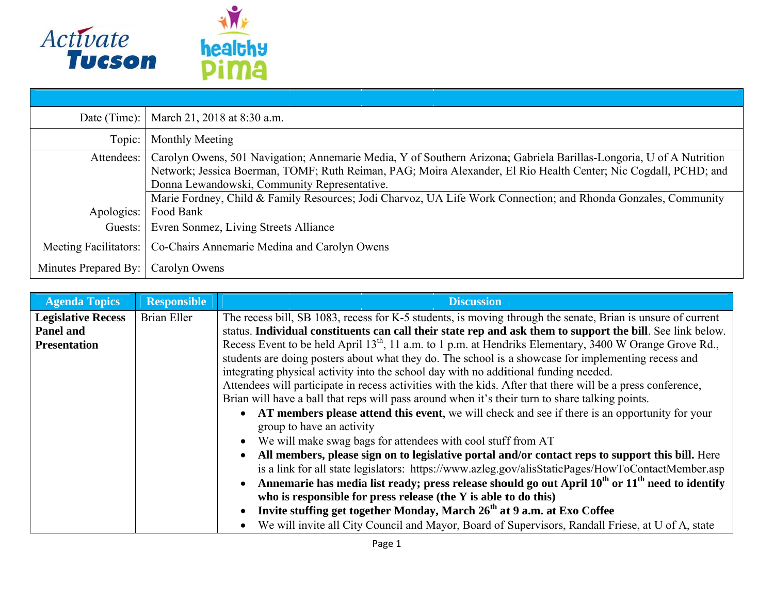

| Date (Time):                 |                    | March 21, 2018 at 8:30 a.m.                                                                                         |  |  |
|------------------------------|--------------------|---------------------------------------------------------------------------------------------------------------------|--|--|
| Topic:                       | Monthly Meeting    |                                                                                                                     |  |  |
| Attendees:                   |                    | Carolyn Owens, 501 Navigation; Annemarie Media, Y of Southern Arizona; Gabriela Barillas-Longoria, U of A Nutrition |  |  |
|                              |                    | Network; Jessica Boerman, TOMF; Ruth Reiman, PAG; Moira Alexander, El Rio Health Center; Nic Cogdall, PCHD; and     |  |  |
|                              |                    | Donna Lewandowski, Community Representative.                                                                        |  |  |
|                              |                    | Marie Fordney, Child & Family Resources; Jodi Charvoz, UA Life Work Connection; and Rhonda Gonzales, Community      |  |  |
| Apologies:                   | Food Bank          |                                                                                                                     |  |  |
| Guests:                      |                    | Evren Sonmez, Living Streets Alliance                                                                               |  |  |
| <b>Meeting Facilitators:</b> |                    | Co-Chairs Annemarie Medina and Carolyn Owens                                                                        |  |  |
| Minutes Prepared By:         |                    | Carolyn Owens                                                                                                       |  |  |
|                              |                    |                                                                                                                     |  |  |
| <b>Agenda Topics</b>         | <b>Responsible</b> | <b>Discussion</b>                                                                                                   |  |  |
| <b>Legislative Recess</b>    | Brian Eller        | The recess bill, SB 1083, recess for K-5 students, is moving through the senate, Brian is unsure of current         |  |  |
| <b>Panel and</b>             |                    | status. Individual constituents can call their state rep and ask them to support the bill. See link below.          |  |  |

| <b>Agenda Topics</b>      | <b>Responsible</b> | <b>Discussion</b>                                                                                                                                                                                     |
|---------------------------|--------------------|-------------------------------------------------------------------------------------------------------------------------------------------------------------------------------------------------------|
| <b>Legislative Recess</b> | Brian Eller        | The recess bill, SB 1083, recess for K-5 students, is moving through the senate, Brian is unsure of current                                                                                           |
| <b>Panel and</b>          |                    | status. Individual constituents can call their state rep and ask them to support the bill. See link below.                                                                                            |
| <b>Presentation</b>       |                    | Recess Event to be held April 13 <sup>th</sup> , 11 a.m. to 1 p.m. at Hendriks Elementary, 3400 W Orange Grove Rd.,                                                                                   |
|                           |                    | students are doing posters about what they do. The school is a showcase for implementing recess and                                                                                                   |
|                           |                    | integrating physical activity into the school day with no additional funding needed.                                                                                                                  |
|                           |                    | Attendees will participate in recess activities with the kids. After that there will be a press conference,                                                                                           |
|                           |                    | Brian will have a ball that reps will pass around when it's their turn to share talking points.                                                                                                       |
|                           |                    | AT members please attend this event, we will check and see if there is an opportunity for your<br>group to have an activity                                                                           |
|                           |                    | We will make swag bags for attendees with cool stuff from AT<br>$\bullet$                                                                                                                             |
|                           |                    | All members, please sign on to legislative portal and/or contact reps to support this bill. Here<br>is a link for all state legislators: https://www.azleg.gov/alisStaticPages/HowToContactMember.asp |
|                           |                    | Annemarie has media list ready; press release should go out April $10^{th}$ or $11^{th}$ need to identify<br>$\bullet$<br>who is responsible for press release (the $Y$ is able to do this)           |
|                           |                    | Invite stuffing get together Monday, March 26 <sup>th</sup> at 9 a.m. at Exo Coffee<br>$\bullet$                                                                                                      |
|                           |                    | We will invite all City Council and Mayor, Board of Supervisors, Randall Friese, at U of A, state                                                                                                     |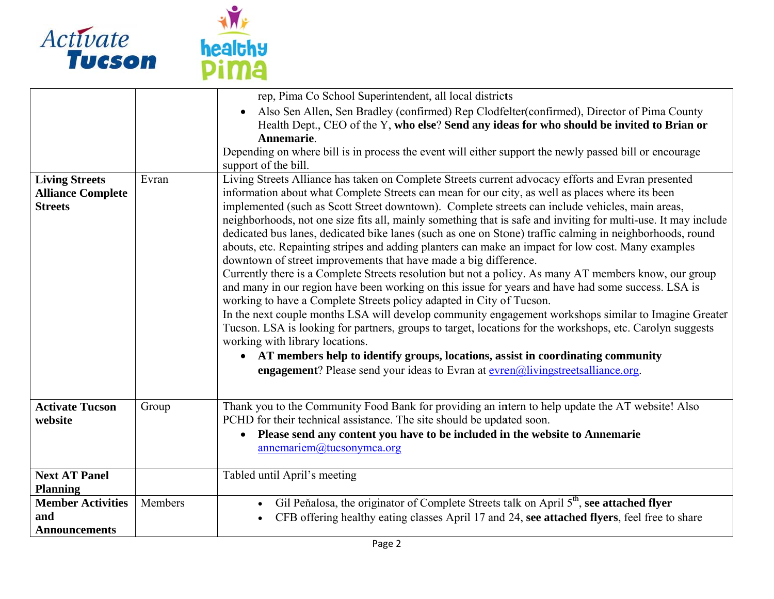

|                                                                     |         | rep, Pima Co School Superintendent, all local districts                                                                                                                                                                                                                                                                                                                                                                                                                                                                                                                                                                                                                                                                                                                                                                                                                                                                                                                                                                                                                                                                                                                                                                                                                                                                                                                                                                                                                  |
|---------------------------------------------------------------------|---------|--------------------------------------------------------------------------------------------------------------------------------------------------------------------------------------------------------------------------------------------------------------------------------------------------------------------------------------------------------------------------------------------------------------------------------------------------------------------------------------------------------------------------------------------------------------------------------------------------------------------------------------------------------------------------------------------------------------------------------------------------------------------------------------------------------------------------------------------------------------------------------------------------------------------------------------------------------------------------------------------------------------------------------------------------------------------------------------------------------------------------------------------------------------------------------------------------------------------------------------------------------------------------------------------------------------------------------------------------------------------------------------------------------------------------------------------------------------------------|
|                                                                     |         | Also Sen Allen, Sen Bradley (confirmed) Rep Clodfelter (confirmed), Director of Pima County<br>$\bullet$<br>Health Dept., CEO of the Y, who else? Send any ideas for who should be invited to Brian or<br>Annemarie.                                                                                                                                                                                                                                                                                                                                                                                                                                                                                                                                                                                                                                                                                                                                                                                                                                                                                                                                                                                                                                                                                                                                                                                                                                                     |
|                                                                     |         | Depending on where bill is in process the event will either support the newly passed bill or encourage<br>support of the bill.                                                                                                                                                                                                                                                                                                                                                                                                                                                                                                                                                                                                                                                                                                                                                                                                                                                                                                                                                                                                                                                                                                                                                                                                                                                                                                                                           |
| <b>Living Streets</b><br><b>Alliance Complete</b><br><b>Streets</b> | Evran   | Living Streets Alliance has taken on Complete Streets current advocacy efforts and Evran presented<br>information about what Complete Streets can mean for our city, as well as places where its been<br>implemented (such as Scott Street downtown). Complete streets can include vehicles, main areas,<br>neighborhoods, not one size fits all, mainly something that is safe and inviting for multi-use. It may include<br>dedicated bus lanes, dedicated bike lanes (such as one on Stone) traffic calming in neighborhoods, round<br>abouts, etc. Repainting stripes and adding planters can make an impact for low cost. Many examples<br>downtown of street improvements that have made a big difference.<br>Currently there is a Complete Streets resolution but not a policy. As many AT members know, our group<br>and many in our region have been working on this issue for years and have had some success. LSA is<br>working to have a Complete Streets policy adapted in City of Tucson.<br>In the next couple months LSA will develop community engagement workshops similar to Imagine Greater<br>Tucson. LSA is looking for partners, groups to target, locations for the workshops, etc. Carolyn suggests<br>working with library locations.<br>AT members help to identify groups, locations, assist in coordinating community<br>$\bullet$<br><b>engagement</b> ? Please send your ideas to Evran at $\frac{even(0,1)}{time}$ streets alliance org. |
| <b>Activate Tucson</b><br>website                                   | Group   | Thank you to the Community Food Bank for providing an intern to help update the AT website! Also<br>PCHD for their technical assistance. The site should be updated soon.<br>Please send any content you have to be included in the website to Annemarie<br>$\bullet$<br>annemariem@tucsonymca.org                                                                                                                                                                                                                                                                                                                                                                                                                                                                                                                                                                                                                                                                                                                                                                                                                                                                                                                                                                                                                                                                                                                                                                       |
| <b>Next AT Panel</b><br><b>Planning</b>                             |         | Tabled until April's meeting                                                                                                                                                                                                                                                                                                                                                                                                                                                                                                                                                                                                                                                                                                                                                                                                                                                                                                                                                                                                                                                                                                                                                                                                                                                                                                                                                                                                                                             |
| <b>Member Activities</b><br>and<br><b>Announcements</b>             | Members | Gil Peňalosa, the originator of Complete Streets talk on April 5 <sup>th</sup> , see attached flyer<br>$\bullet$<br>CFB offering healthy eating classes April 17 and 24, see attached flyers, feel free to share                                                                                                                                                                                                                                                                                                                                                                                                                                                                                                                                                                                                                                                                                                                                                                                                                                                                                                                                                                                                                                                                                                                                                                                                                                                         |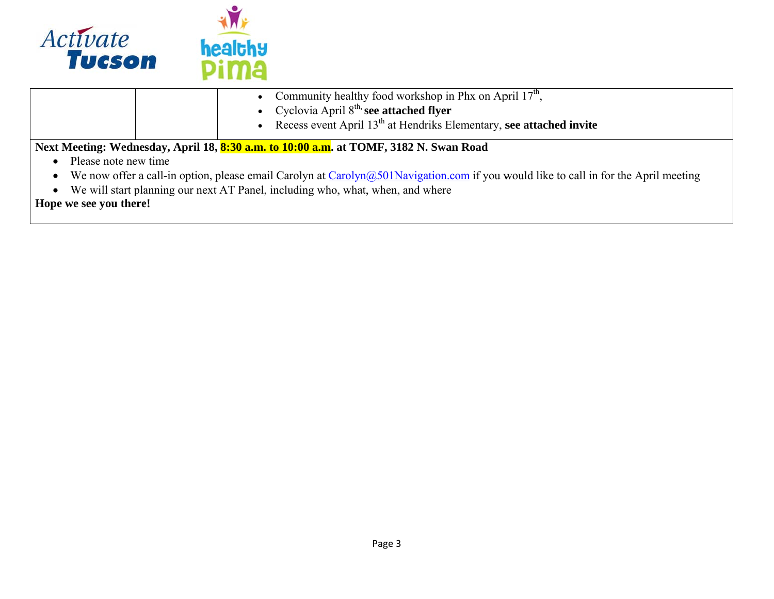

|                                                                                                                                           | • Community healthy food workshop in Phx on April $17th$ ,                            |  |
|-------------------------------------------------------------------------------------------------------------------------------------------|---------------------------------------------------------------------------------------|--|
|                                                                                                                                           | • Cyclovia April $8^{th}$ see attached flyer                                          |  |
|                                                                                                                                           | • Recess event April $13th$ at Hendriks Elementary, see attached invite               |  |
|                                                                                                                                           | Next Meeting: Wednesday, April 18, 8:30 a.m. to 10:00 a.m. at TOMF, 3182 N. Swan Road |  |
| Please note new time                                                                                                                      |                                                                                       |  |
| We now offer a call-in option, please email Carolyn at Carolyn $(a)$ 501Navigation.com if you would like to call in for the April meeting |                                                                                       |  |
| We will start planning our next AT Panel, including who, what, when, and where                                                            |                                                                                       |  |
| Hope we see you there!                                                                                                                    |                                                                                       |  |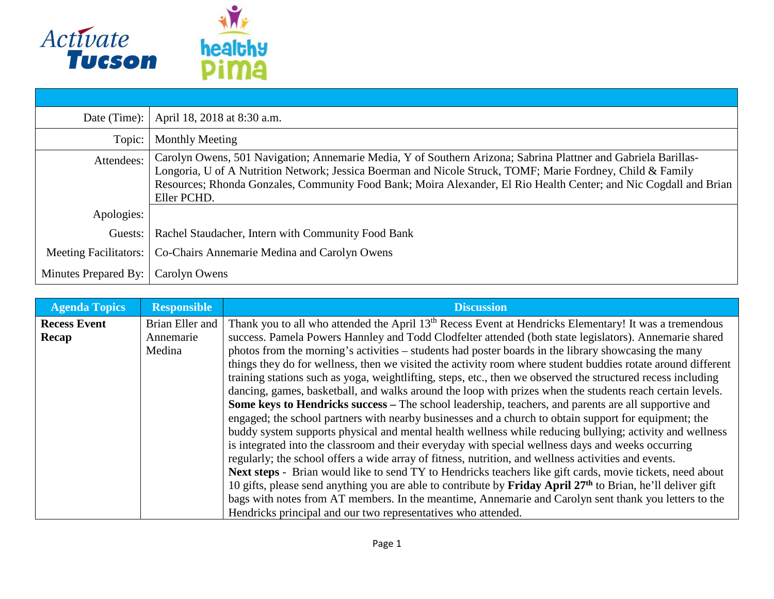

| Date (Time):          | April 18, 2018 at 8:30 a.m.                                                                                                                                                                                                                                                                                                                                      |
|-----------------------|------------------------------------------------------------------------------------------------------------------------------------------------------------------------------------------------------------------------------------------------------------------------------------------------------------------------------------------------------------------|
| Topic:                | Monthly Meeting                                                                                                                                                                                                                                                                                                                                                  |
| Attendees:            | Carolyn Owens, 501 Navigation; Annemarie Media, Y of Southern Arizona; Sabrina Plattner and Gabriela Barillas-<br>Longoria, U of A Nutrition Network; Jessica Boerman and Nicole Struck, TOMF; Marie Fordney, Child & Family<br>Resources; Rhonda Gonzales, Community Food Bank; Moira Alexander, El Rio Health Center; and Nic Cogdall and Brian<br>Eller PCHD. |
| Apologies:            |                                                                                                                                                                                                                                                                                                                                                                  |
| Guests:               | Rachel Staudacher, Intern with Community Food Bank                                                                                                                                                                                                                                                                                                               |
| Meeting Facilitators: | Co-Chairs Annemarie Medina and Carolyn Owens                                                                                                                                                                                                                                                                                                                     |
| Minutes Prepared By:  | Carolyn Owens                                                                                                                                                                                                                                                                                                                                                    |

| <b>Agenda Topics</b> | <b>Responsible</b> | <b>Discussion</b>                                                                                                  |
|----------------------|--------------------|--------------------------------------------------------------------------------------------------------------------|
| <b>Recess Event</b>  | Brian Eller and    | Thank you to all who attended the April 13 <sup>th</sup> Recess Event at Hendricks Elementary! It was a tremendous |
| Recap                | Annemarie          | success. Pamela Powers Hannley and Todd Clodfelter attended (both state legislators). Annemarie shared             |
|                      | Medina             | photos from the morning's activities – students had poster boards in the library showcasing the many               |
|                      |                    | things they do for wellness, then we visited the activity room where student buddies rotate around different       |
|                      |                    | training stations such as yoga, weightlifting, steps, etc., then we observed the structured recess including       |
|                      |                    | dancing, games, basketball, and walks around the loop with prizes when the students reach certain levels.          |
|                      |                    | Some keys to Hendricks success – The school leadership, teachers, and parents are all supportive and               |
|                      |                    | engaged; the school partners with nearby businesses and a church to obtain support for equipment; the              |
|                      |                    | buddy system supports physical and mental health wellness while reducing bullying; activity and wellness           |
|                      |                    | is integrated into the classroom and their everyday with special wellness days and weeks occurring                 |
|                      |                    | regularly; the school offers a wide array of fitness, nutrition, and wellness activities and events.               |
|                      |                    | Next steps - Brian would like to send TY to Hendricks teachers like gift cards, movie tickets, need about          |
|                      |                    | 10 gifts, please send anything you are able to contribute by <b>Friday April 27th</b> to Brian, he'll deliver gift |
|                      |                    | bags with notes from AT members. In the meantime, Annemarie and Carolyn sent thank you letters to the              |
|                      |                    | Hendricks principal and our two representatives who attended.                                                      |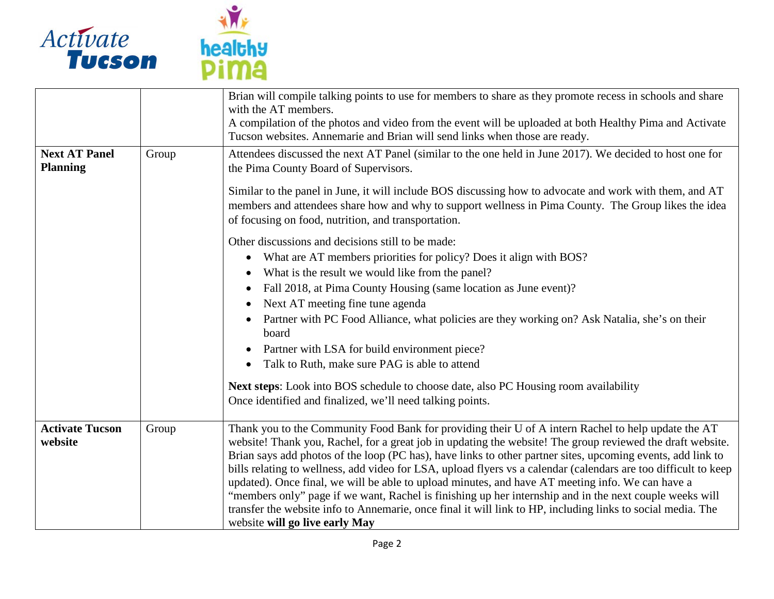



|                                         |       | Brian will compile talking points to use for members to share as they promote recess in schools and share<br>with the AT members.<br>A compilation of the photos and video from the event will be uploaded at both Healthy Pima and Activate<br>Tucson websites. Annemarie and Brian will send links when those are ready.                                                                                                                                                                                                                                                                                                                                                                                                                                                                                          |
|-----------------------------------------|-------|---------------------------------------------------------------------------------------------------------------------------------------------------------------------------------------------------------------------------------------------------------------------------------------------------------------------------------------------------------------------------------------------------------------------------------------------------------------------------------------------------------------------------------------------------------------------------------------------------------------------------------------------------------------------------------------------------------------------------------------------------------------------------------------------------------------------|
| <b>Next AT Panel</b><br><b>Planning</b> | Group | Attendees discussed the next AT Panel (similar to the one held in June 2017). We decided to host one for<br>the Pima County Board of Supervisors.<br>Similar to the panel in June, it will include BOS discussing how to advocate and work with them, and AT                                                                                                                                                                                                                                                                                                                                                                                                                                                                                                                                                        |
|                                         |       | members and attendees share how and why to support wellness in Pima County. The Group likes the idea<br>of focusing on food, nutrition, and transportation.                                                                                                                                                                                                                                                                                                                                                                                                                                                                                                                                                                                                                                                         |
|                                         |       | Other discussions and decisions still to be made:                                                                                                                                                                                                                                                                                                                                                                                                                                                                                                                                                                                                                                                                                                                                                                   |
|                                         |       | What are AT members priorities for policy? Does it align with BOS?<br>$\bullet$                                                                                                                                                                                                                                                                                                                                                                                                                                                                                                                                                                                                                                                                                                                                     |
|                                         |       | What is the result we would like from the panel?                                                                                                                                                                                                                                                                                                                                                                                                                                                                                                                                                                                                                                                                                                                                                                    |
|                                         |       | Fall 2018, at Pima County Housing (same location as June event)?                                                                                                                                                                                                                                                                                                                                                                                                                                                                                                                                                                                                                                                                                                                                                    |
|                                         |       | Next AT meeting fine tune agenda<br>$\bullet$                                                                                                                                                                                                                                                                                                                                                                                                                                                                                                                                                                                                                                                                                                                                                                       |
|                                         |       | Partner with PC Food Alliance, what policies are they working on? Ask Natalia, she's on their<br>$\bullet$<br>board                                                                                                                                                                                                                                                                                                                                                                                                                                                                                                                                                                                                                                                                                                 |
|                                         |       | Partner with LSA for build environment piece?                                                                                                                                                                                                                                                                                                                                                                                                                                                                                                                                                                                                                                                                                                                                                                       |
|                                         |       | Talk to Ruth, make sure PAG is able to attend<br>$\bullet$                                                                                                                                                                                                                                                                                                                                                                                                                                                                                                                                                                                                                                                                                                                                                          |
|                                         |       | Next steps: Look into BOS schedule to choose date, also PC Housing room availability                                                                                                                                                                                                                                                                                                                                                                                                                                                                                                                                                                                                                                                                                                                                |
|                                         |       | Once identified and finalized, we'll need talking points.                                                                                                                                                                                                                                                                                                                                                                                                                                                                                                                                                                                                                                                                                                                                                           |
| <b>Activate Tucson</b><br>website       | Group | Thank you to the Community Food Bank for providing their U of A intern Rachel to help update the AT<br>website! Thank you, Rachel, for a great job in updating the website! The group reviewed the draft website.<br>Brian says add photos of the loop (PC has), have links to other partner sites, upcoming events, add link to<br>bills relating to wellness, add video for LSA, upload flyers vs a calendar (calendars are too difficult to keep<br>updated). Once final, we will be able to upload minutes, and have AT meeting info. We can have a<br>"members only" page if we want, Rachel is finishing up her internship and in the next couple weeks will<br>transfer the website info to Annemarie, once final it will link to HP, including links to social media. The<br>website will go live early May |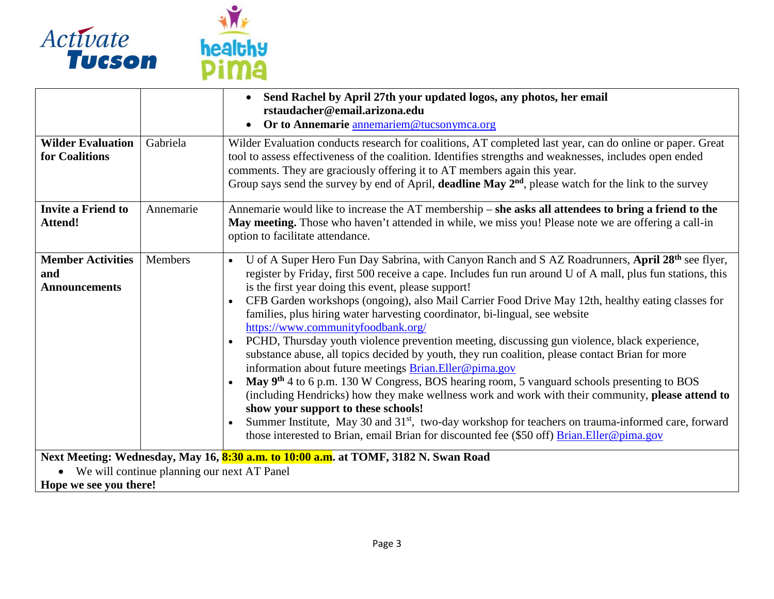

|                                                                         |           | Send Rachel by April 27th your updated logos, any photos, her email<br>rstaudacher@email.arizona.edu<br>Or to Annemarie annemariem@tucsonymca.org                                                                                                                                                                                                                                                                                                                                                                                                                                                                                                                                                                                                                                                                                                                                                                                                                                                                                                                                                                                                                                                                                                                                      |
|-------------------------------------------------------------------------|-----------|----------------------------------------------------------------------------------------------------------------------------------------------------------------------------------------------------------------------------------------------------------------------------------------------------------------------------------------------------------------------------------------------------------------------------------------------------------------------------------------------------------------------------------------------------------------------------------------------------------------------------------------------------------------------------------------------------------------------------------------------------------------------------------------------------------------------------------------------------------------------------------------------------------------------------------------------------------------------------------------------------------------------------------------------------------------------------------------------------------------------------------------------------------------------------------------------------------------------------------------------------------------------------------------|
| <b>Wilder Evaluation</b><br>for Coalitions                              | Gabriela  | Wilder Evaluation conducts research for coalitions, AT completed last year, can do online or paper. Great<br>tool to assess effectiveness of the coalition. Identifies strengths and weaknesses, includes open ended<br>comments. They are graciously offering it to AT members again this year.<br>Group says send the survey by end of April, deadline May 2 <sup>nd</sup> , please watch for the link to the survey                                                                                                                                                                                                                                                                                                                                                                                                                                                                                                                                                                                                                                                                                                                                                                                                                                                                 |
| <b>Invite a Friend to</b><br><b>Attend!</b>                             | Annemarie | Annemarie would like to increase the AT membership – she asks all attendees to bring a friend to the<br>May meeting. Those who haven't attended in while, we miss you! Please note we are offering a call-in<br>option to facilitate attendance.                                                                                                                                                                                                                                                                                                                                                                                                                                                                                                                                                                                                                                                                                                                                                                                                                                                                                                                                                                                                                                       |
| <b>Member Activities</b><br>and<br><b>Announcements</b>                 | Members   | U of A Super Hero Fun Day Sabrina, with Canyon Ranch and S AZ Roadrunners, April 28th see flyer,<br>$\bullet$<br>register by Friday, first 500 receive a cape. Includes fun run around U of A mall, plus fun stations, this<br>is the first year doing this event, please support!<br>CFB Garden workshops (ongoing), also Mail Carrier Food Drive May 12th, healthy eating classes for<br>$\bullet$<br>families, plus hiring water harvesting coordinator, bi-lingual, see website<br>https://www.communityfoodbank.org/<br>PCHD, Thursday youth violence prevention meeting, discussing gun violence, black experience,<br>$\bullet$<br>substance abuse, all topics decided by youth, they run coalition, please contact Brian for more<br>information about future meetings <b>Brian.Eller@pima.gov</b><br>May 9 <sup>th</sup> 4 to 6 p.m. 130 W Congress, BOS hearing room, 5 vanguard schools presenting to BOS<br>(including Hendricks) how they make wellness work and work with their community, please attend to<br>show your support to these schools!<br>Summer Institute, May 30 and 31 <sup>st</sup> , two-day workshop for teachers on trauma-informed care, forward<br>those interested to Brian, email Brian for discounted fee (\$50 off) <b>Brian.Eller@pima.gov</b> |
|                                                                         |           | Next Meeting: Wednesday, May 16, 8:30 a.m. to 10:00 a.m. at TOMF, 3182 N. Swan Road                                                                                                                                                                                                                                                                                                                                                                                                                                                                                                                                                                                                                                                                                                                                                                                                                                                                                                                                                                                                                                                                                                                                                                                                    |
| • We will continue planning our next AT Panel<br>Hope we see you there! |           |                                                                                                                                                                                                                                                                                                                                                                                                                                                                                                                                                                                                                                                                                                                                                                                                                                                                                                                                                                                                                                                                                                                                                                                                                                                                                        |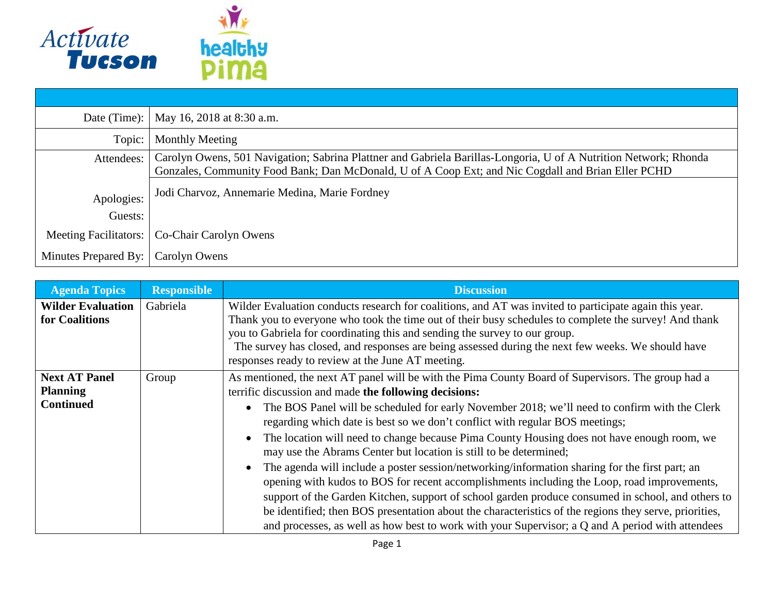

|                       | Date (Time):   May 16, 2018 at 8:30 a.m.                                                                                                                                                                               |
|-----------------------|------------------------------------------------------------------------------------------------------------------------------------------------------------------------------------------------------------------------|
| Topic:                | <b>Monthly Meeting</b>                                                                                                                                                                                                 |
| Attendees:            | Carolyn Owens, 501 Navigation; Sabrina Plattner and Gabriela Barillas-Longoria, U of A Nutrition Network; Rhonda<br>Gonzales, Community Food Bank; Dan McDonald, U of A Coop Ext; and Nic Cogdall and Brian Eller PCHD |
| Apologies:            | Jodi Charvoz, Annemarie Medina, Marie Fordney                                                                                                                                                                          |
| Guests:               |                                                                                                                                                                                                                        |
| Meeting Facilitators: | Co-Chair Carolyn Owens                                                                                                                                                                                                 |
| Minutes Prepared By:  | Carolyn Owens                                                                                                                                                                                                          |

| <b>Agenda Topics</b>                                        | <b>Responsible</b> | <b>Discussion</b>                                                                                                                                                                                                                                                                                                                                                                                                                                                                                                                                                                                                                                                                                                                                                                                                                                                                                                                                                                                                                  |
|-------------------------------------------------------------|--------------------|------------------------------------------------------------------------------------------------------------------------------------------------------------------------------------------------------------------------------------------------------------------------------------------------------------------------------------------------------------------------------------------------------------------------------------------------------------------------------------------------------------------------------------------------------------------------------------------------------------------------------------------------------------------------------------------------------------------------------------------------------------------------------------------------------------------------------------------------------------------------------------------------------------------------------------------------------------------------------------------------------------------------------------|
| <b>Wilder Evaluation</b><br>for Coalitions                  | Gabriela           | Wilder Evaluation conducts research for coalitions, and AT was invited to participate again this year.<br>Thank you to everyone who took the time out of their busy schedules to complete the survey! And thank<br>you to Gabriela for coordinating this and sending the survey to our group.<br>The survey has closed, and responses are being assessed during the next few weeks. We should have<br>responses ready to review at the June AT meeting.                                                                                                                                                                                                                                                                                                                                                                                                                                                                                                                                                                            |
| <b>Next AT Panel</b><br><b>Planning</b><br><b>Continued</b> | Group              | As mentioned, the next AT panel will be with the Pima County Board of Supervisors. The group had a<br>terrific discussion and made the following decisions:<br>The BOS Panel will be scheduled for early November 2018; we'll need to confirm with the Clerk<br>regarding which date is best so we don't conflict with regular BOS meetings;<br>The location will need to change because Pima County Housing does not have enough room, we<br>may use the Abrams Center but location is still to be determined;<br>The agenda will include a poster session/networking/information sharing for the first part; an<br>opening with kudos to BOS for recent accomplishments including the Loop, road improvements,<br>support of the Garden Kitchen, support of school garden produce consumed in school, and others to<br>be identified; then BOS presentation about the characteristics of the regions they serve, priorities,<br>and processes, as well as how best to work with your Supervisor; a Q and A period with attendees |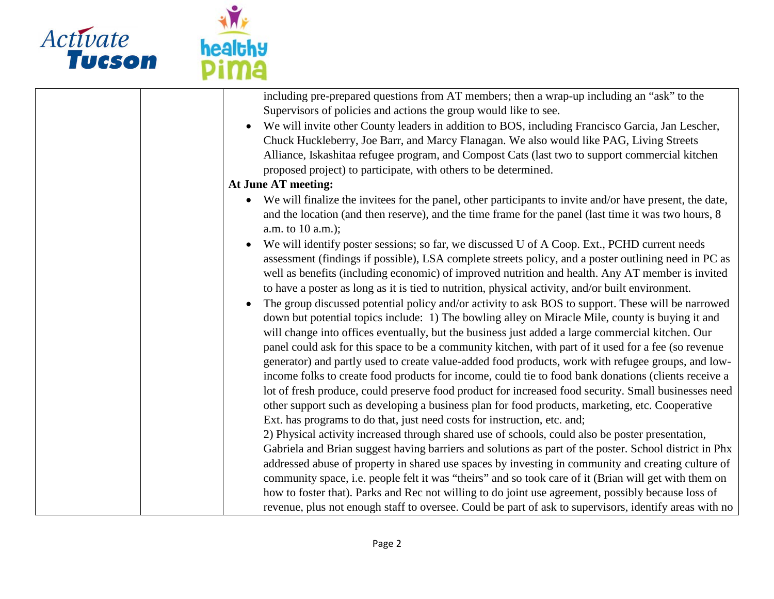

| including pre-prepared questions from AT members; then a wrap-up including an "ask" to the                      |
|-----------------------------------------------------------------------------------------------------------------|
| Supervisors of policies and actions the group would like to see.                                                |
| We will invite other County leaders in addition to BOS, including Francisco Garcia, Jan Lescher,                |
| Chuck Huckleberry, Joe Barr, and Marcy Flanagan. We also would like PAG, Living Streets                         |
| Alliance, Iskashitaa refugee program, and Compost Cats (last two to support commercial kitchen                  |
| proposed project) to participate, with others to be determined.                                                 |
| <b>At June AT meeting:</b>                                                                                      |
| • We will finalize the invitees for the panel, other participants to invite and/or have present, the date,      |
| and the location (and then reserve), and the time frame for the panel (last time it was two hours, 8            |
| a.m. to 10 a.m.);                                                                                               |
| We will identify poster sessions; so far, we discussed U of A Coop. Ext., PCHD current needs<br>$\bullet$       |
| assessment (findings if possible), LSA complete streets policy, and a poster outlining need in PC as            |
| well as benefits (including economic) of improved nutrition and health. Any AT member is invited                |
| to have a poster as long as it is tied to nutrition, physical activity, and/or built environment.               |
| The group discussed potential policy and/or activity to ask BOS to support. These will be narrowed<br>$\bullet$ |
| down but potential topics include: 1) The bowling alley on Miracle Mile, county is buying it and                |
| will change into offices eventually, but the business just added a large commercial kitchen. Our                |
| panel could ask for this space to be a community kitchen, with part of it used for a fee (so revenue            |
| generator) and partly used to create value-added food products, work with refugee groups, and low-              |
| income folks to create food products for income, could tie to food bank donations (clients receive a            |
| lot of fresh produce, could preserve food product for increased food security. Small businesses need            |
| other support such as developing a business plan for food products, marketing, etc. Cooperative                 |
| Ext. has programs to do that, just need costs for instruction, etc. and;                                        |
| 2) Physical activity increased through shared use of schools, could also be poster presentation,                |
| Gabriela and Brian suggest having barriers and solutions as part of the poster. School district in Phx          |
| addressed abuse of property in shared use spaces by investing in community and creating culture of              |
| community space, i.e. people felt it was "theirs" and so took care of it (Brian will get with them on           |
| how to foster that). Parks and Rec not willing to do joint use agreement, possibly because loss of              |
| revenue, plus not enough staff to oversee. Could be part of ask to supervisors, identify areas with no          |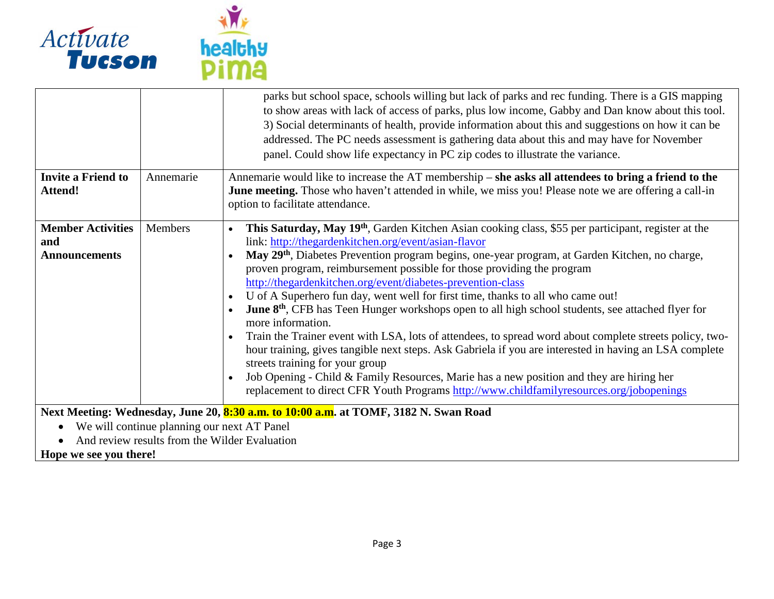

|                                                         |                                               | parks but school space, schools willing but lack of parks and rec funding. There is a GIS mapping<br>to show areas with lack of access of parks, plus low income, Gabby and Dan know about this tool.<br>3) Social determinants of health, provide information about this and suggestions on how it can be<br>addressed. The PC needs assessment is gathering data about this and may have for November<br>panel. Could show life expectancy in PC zip codes to illustrate the variance.                                                                                                                                                                                                                                                                                                                                                                                                                                                                                                                                                                                                                        |
|---------------------------------------------------------|-----------------------------------------------|-----------------------------------------------------------------------------------------------------------------------------------------------------------------------------------------------------------------------------------------------------------------------------------------------------------------------------------------------------------------------------------------------------------------------------------------------------------------------------------------------------------------------------------------------------------------------------------------------------------------------------------------------------------------------------------------------------------------------------------------------------------------------------------------------------------------------------------------------------------------------------------------------------------------------------------------------------------------------------------------------------------------------------------------------------------------------------------------------------------------|
| <b>Invite a Friend to</b><br><b>Attend!</b>             | Annemarie                                     | Annemarie would like to increase the AT membership – she asks all attendees to bring a friend to the<br><b>June meeting.</b> Those who haven't attended in while, we miss you! Please note we are offering a call-in<br>option to facilitate attendance.                                                                                                                                                                                                                                                                                                                                                                                                                                                                                                                                                                                                                                                                                                                                                                                                                                                        |
| <b>Member Activities</b><br>and<br><b>Announcements</b> | Members                                       | This Saturday, May 19 <sup>th</sup> , Garden Kitchen Asian cooking class, \$55 per participant, register at the<br>$\bullet$<br>link: http://thegardenkitchen.org/event/asian-flavor<br>May 29 <sup>th</sup> , Diabetes Prevention program begins, one-year program, at Garden Kitchen, no charge,<br>proven program, reimbursement possible for those providing the program<br>http://thegardenkitchen.org/event/diabetes-prevention-class<br>U of A Superhero fun day, went well for first time, thanks to all who came out!<br><b>June 8th</b> , CFB has Teen Hunger workshops open to all high school students, see attached flyer for<br>more information.<br>Train the Trainer event with LSA, lots of attendees, to spread word about complete streets policy, two-<br>hour training, gives tangible next steps. Ask Gabriela if you are interested in having an LSA complete<br>streets training for your group<br>Job Opening - Child & Family Resources, Marie has a new position and they are hiring her<br>replacement to direct CFR Youth Programs http://www.childfamilyresources.org/jobopenings |
| • We will continue planning our next AT Panel<br>TT.    | And review results from the Wilder Evaluation | Next Meeting: Wednesday, June 20, 8:30 a.m. to 10:00 a.m. at TOMF, 3182 N. Swan Road                                                                                                                                                                                                                                                                                                                                                                                                                                                                                                                                                                                                                                                                                                                                                                                                                                                                                                                                                                                                                            |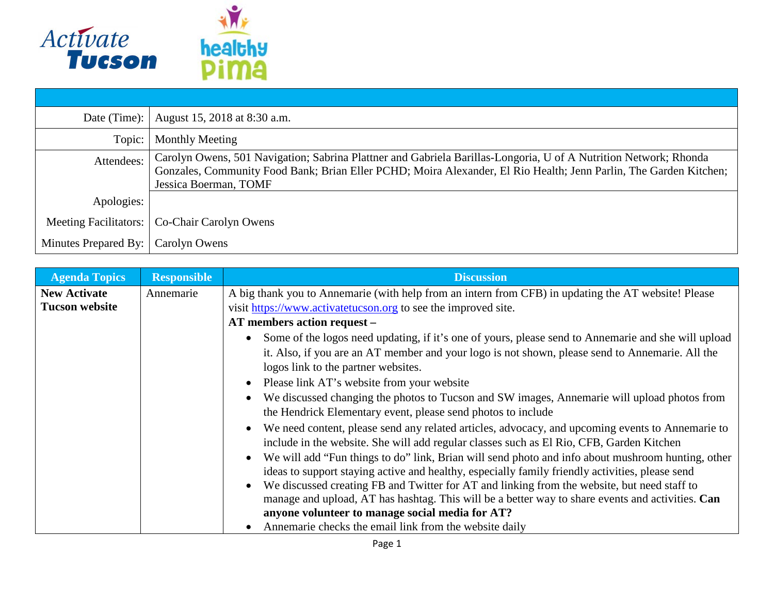

| Date (Time):                 | August 15, 2018 at 8:30 a.m.                                                                                                                                                                                                                                   |
|------------------------------|----------------------------------------------------------------------------------------------------------------------------------------------------------------------------------------------------------------------------------------------------------------|
| Topic:                       | <b>Monthly Meeting</b>                                                                                                                                                                                                                                         |
| Attendees:                   | Carolyn Owens, 501 Navigation; Sabrina Plattner and Gabriela Barillas-Longoria, U of A Nutrition Network; Rhonda<br>Gonzales, Community Food Bank; Brian Eller PCHD; Moira Alexander, El Rio Health; Jenn Parlin, The Garden Kitchen;<br>Jessica Boerman, TOMF |
| Apologies:                   |                                                                                                                                                                                                                                                                |
| <b>Meeting Facilitators:</b> | Co-Chair Carolyn Owens                                                                                                                                                                                                                                         |
| Minutes Prepared By:         | Carolyn Owens                                                                                                                                                                                                                                                  |

| <b>Agenda Topics</b>  | <b>Responsible</b> | <b>Discussion</b>                                                                                                                                                                                                                             |
|-----------------------|--------------------|-----------------------------------------------------------------------------------------------------------------------------------------------------------------------------------------------------------------------------------------------|
| <b>New Activate</b>   | Annemarie          | A big thank you to Annemarie (with help from an intern from CFB) in updating the AT website! Please                                                                                                                                           |
| <b>Tucson website</b> |                    | visit https://www.activatetucson.org to see the improved site.                                                                                                                                                                                |
|                       |                    | AT members action request -                                                                                                                                                                                                                   |
|                       |                    | Some of the logos need updating, if it's one of yours, please send to Annemarie and she will upload<br>it. Also, if you are an AT member and your logo is not shown, please send to Annemarie. All the<br>logos link to the partner websites. |
|                       |                    | • Please link AT's website from your website                                                                                                                                                                                                  |
|                       |                    | • We discussed changing the photos to Tucson and SW images, Annemarie will upload photos from<br>the Hendrick Elementary event, please send photos to include                                                                                 |
|                       |                    | We need content, please send any related articles, advocacy, and upcoming events to Annemarie to<br>include in the website. She will add regular classes such as El Rio, CFB, Garden Kitchen                                                  |
|                       |                    | We will add "Fun things to do" link, Brian will send photo and info about mushroom hunting, other<br>ideas to support staying active and healthy, especially family friendly activities, please send                                          |
|                       |                    | We discussed creating FB and Twitter for AT and linking from the website, but need staff to                                                                                                                                                   |
|                       |                    | manage and upload, AT has hashtag. This will be a better way to share events and activities. Can<br>anyone volunteer to manage social media for AT?                                                                                           |
|                       |                    | Annemarie checks the email link from the website daily                                                                                                                                                                                        |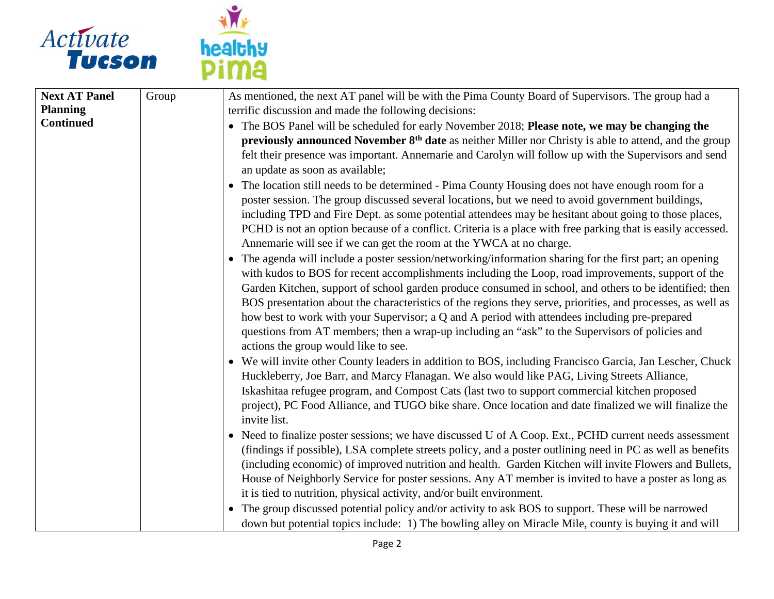

| Group | As mentioned, the next AT panel will be with the Pima County Board of Supervisors. The group had a                     |
|-------|------------------------------------------------------------------------------------------------------------------------|
|       | terrific discussion and made the following decisions:                                                                  |
|       | • The BOS Panel will be scheduled for early November 2018; Please note, we may be changing the                         |
|       | previously announced November 8 <sup>th</sup> date as neither Miller nor Christy is able to attend, and the group      |
|       | felt their presence was important. Annemarie and Carolyn will follow up with the Supervisors and send                  |
|       | an update as soon as available;                                                                                        |
|       | • The location still needs to be determined - Pima County Housing does not have enough room for a                      |
|       | poster session. The group discussed several locations, but we need to avoid government buildings,                      |
|       | including TPD and Fire Dept. as some potential attendees may be hesitant about going to those places,                  |
|       | PCHD is not an option because of a conflict. Criteria is a place with free parking that is easily accessed.            |
|       | Annemarie will see if we can get the room at the YWCA at no charge.                                                    |
|       | • The agenda will include a poster session/networking/information sharing for the first part; an opening               |
|       | with kudos to BOS for recent accomplishments including the Loop, road improvements, support of the                     |
|       | Garden Kitchen, support of school garden produce consumed in school, and others to be identified; then                 |
|       | BOS presentation about the characteristics of the regions they serve, priorities, and processes, as well as            |
|       | how best to work with your Supervisor; a Q and A period with attendees including pre-prepared                          |
|       | questions from AT members; then a wrap-up including an "ask" to the Supervisors of policies and                        |
|       | actions the group would like to see.                                                                                   |
|       | • We will invite other County leaders in addition to BOS, including Francisco Garcia, Jan Lescher, Chuck               |
|       | Huckleberry, Joe Barr, and Marcy Flanagan. We also would like PAG, Living Streets Alliance,                            |
|       | Iskashitaa refugee program, and Compost Cats (last two to support commercial kitchen proposed                          |
|       | project), PC Food Alliance, and TUGO bike share. Once location and date finalized we will finalize the<br>invite list. |
|       | • Need to finalize poster sessions; we have discussed U of A Coop. Ext., PCHD current needs assessment                 |
|       | (findings if possible), LSA complete streets policy, and a poster outlining need in PC as well as benefits             |
|       | (including economic) of improved nutrition and health. Garden Kitchen will invite Flowers and Bullets,                 |
|       | House of Neighborly Service for poster sessions. Any AT member is invited to have a poster as long as                  |
|       | it is tied to nutrition, physical activity, and/or built environment.                                                  |
|       | • The group discussed potential policy and/or activity to ask BOS to support. These will be narrowed                   |
|       | down but potential topics include: 1) The bowling alley on Miracle Mile, county is buying it and will                  |
|       |                                                                                                                        |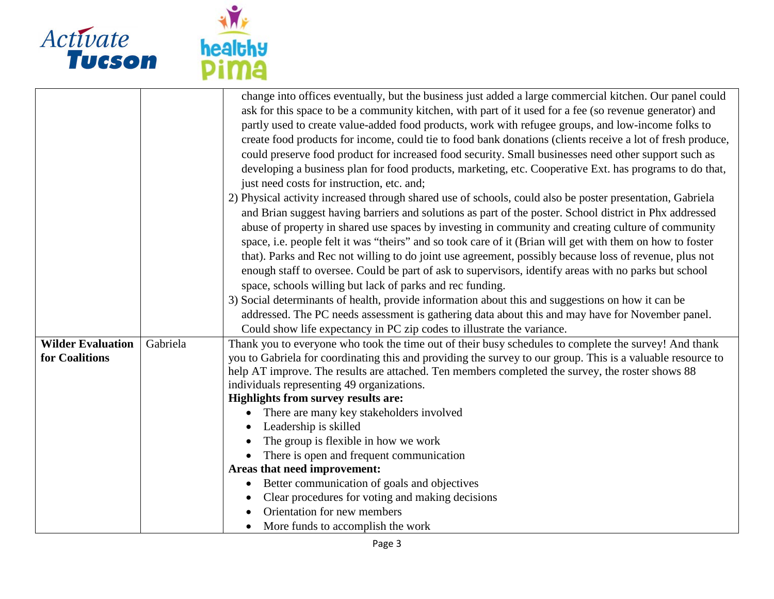

|                          |          | change into offices eventually, but the business just added a large commercial kitchen. Our panel could<br>ask for this space to be a community kitchen, with part of it used for a fee (so revenue generator) and |  |
|--------------------------|----------|--------------------------------------------------------------------------------------------------------------------------------------------------------------------------------------------------------------------|--|
|                          |          | partly used to create value-added food products, work with refugee groups, and low-income folks to                                                                                                                 |  |
|                          |          | create food products for income, could tie to food bank donations (clients receive a lot of fresh produce,                                                                                                         |  |
|                          |          | could preserve food product for increased food security. Small businesses need other support such as                                                                                                               |  |
|                          |          | developing a business plan for food products, marketing, etc. Cooperative Ext. has programs to do that,                                                                                                            |  |
|                          |          | just need costs for instruction, etc. and;                                                                                                                                                                         |  |
|                          |          | 2) Physical activity increased through shared use of schools, could also be poster presentation, Gabriela                                                                                                          |  |
|                          |          | and Brian suggest having barriers and solutions as part of the poster. School district in Phx addressed                                                                                                            |  |
|                          |          | abuse of property in shared use spaces by investing in community and creating culture of community                                                                                                                 |  |
|                          |          | space, i.e. people felt it was "theirs" and so took care of it (Brian will get with them on how to foster                                                                                                          |  |
|                          |          | that). Parks and Rec not willing to do joint use agreement, possibly because loss of revenue, plus not                                                                                                             |  |
|                          |          | enough staff to oversee. Could be part of ask to supervisors, identify areas with no parks but school                                                                                                              |  |
|                          |          | space, schools willing but lack of parks and rec funding.                                                                                                                                                          |  |
|                          |          | 3) Social determinants of health, provide information about this and suggestions on how it can be                                                                                                                  |  |
|                          |          | addressed. The PC needs assessment is gathering data about this and may have for November panel.                                                                                                                   |  |
|                          |          | Could show life expectancy in PC zip codes to illustrate the variance.                                                                                                                                             |  |
| <b>Wilder Evaluation</b> | Gabriela | Thank you to everyone who took the time out of their busy schedules to complete the survey! And thank                                                                                                              |  |
| for Coalitions           |          | you to Gabriela for coordinating this and providing the survey to our group. This is a valuable resource to                                                                                                        |  |
|                          |          | help AT improve. The results are attached. Ten members completed the survey, the roster shows 88                                                                                                                   |  |
|                          |          | individuals representing 49 organizations.                                                                                                                                                                         |  |
|                          |          | Highlights from survey results are:                                                                                                                                                                                |  |
|                          |          | There are many key stakeholders involved                                                                                                                                                                           |  |
|                          |          | Leadership is skilled                                                                                                                                                                                              |  |
|                          |          | The group is flexible in how we work                                                                                                                                                                               |  |
|                          |          | There is open and frequent communication                                                                                                                                                                           |  |
|                          |          | Areas that need improvement:                                                                                                                                                                                       |  |
|                          |          | Better communication of goals and objectives<br>$\bullet$                                                                                                                                                          |  |
|                          |          | Clear procedures for voting and making decisions                                                                                                                                                                   |  |
|                          |          | Orientation for new members                                                                                                                                                                                        |  |
|                          |          | More funds to accomplish the work                                                                                                                                                                                  |  |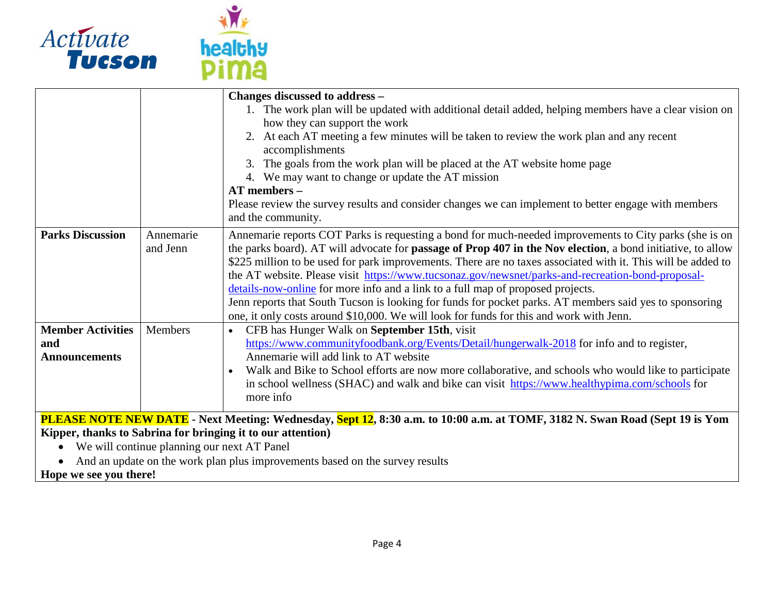



|                                                                                                            |           | Changes discussed to address -                                                                                                     |
|------------------------------------------------------------------------------------------------------------|-----------|------------------------------------------------------------------------------------------------------------------------------------|
|                                                                                                            |           | 1. The work plan will be updated with additional detail added, helping members have a clear vision on                              |
|                                                                                                            |           | how they can support the work                                                                                                      |
|                                                                                                            |           | 2. At each AT meeting a few minutes will be taken to review the work plan and any recent                                           |
|                                                                                                            |           | accomplishments                                                                                                                    |
|                                                                                                            |           | The goals from the work plan will be placed at the AT website home page                                                            |
|                                                                                                            |           | 4. We may want to change or update the AT mission                                                                                  |
|                                                                                                            |           | $AT$ members $-$                                                                                                                   |
|                                                                                                            |           | Please review the survey results and consider changes we can implement to better engage with members                               |
|                                                                                                            |           | and the community.                                                                                                                 |
| <b>Parks Discussion</b>                                                                                    | Annemarie | Annemarie reports COT Parks is requesting a bond for much-needed improvements to City parks (she is on                             |
|                                                                                                            | and Jenn  | the parks board). AT will advocate for <b>passage of Prop 407 in the Nov election</b> , a bond initiative, to allow                |
|                                                                                                            |           | \$225 million to be used for park improvements. There are no taxes associated with it. This will be added to                       |
|                                                                                                            |           | the AT website. Please visit https://www.tucsonaz.gov/newsnet/parks-and-recreation-bond-proposal-                                  |
|                                                                                                            |           | details-now-online for more info and a link to a full map of proposed projects.                                                    |
|                                                                                                            |           | Jenn reports that South Tucson is looking for funds for pocket parks. AT members said yes to sponsoring                            |
|                                                                                                            |           | one, it only costs around \$10,000. We will look for funds for this and work with Jenn.                                            |
| <b>Member Activities</b>                                                                                   | Members   | CFB has Hunger Walk on September 15th, visit                                                                                       |
| and                                                                                                        |           | https://www.communityfoodbank.org/Events/Detail/hungerwalk-2018 for info and to register,                                          |
| <b>Announcements</b>                                                                                       |           | Annemarie will add link to AT website                                                                                              |
|                                                                                                            |           | Walk and Bike to School efforts are now more collaborative, and schools who would like to participate                              |
|                                                                                                            |           | in school wellness (SHAC) and walk and bike can visit https://www.healthypima.com/schools for                                      |
|                                                                                                            |           | more info                                                                                                                          |
|                                                                                                            |           | <b>PLEASE NOTE NEW DATE</b> - Next Meeting: Wednesday, Sept 12, 8:30 a.m. to 10:00 a.m. at TOMF, 3182 N. Swan Road (Sept 19 is Yom |
|                                                                                                            |           |                                                                                                                                    |
| Kipper, thanks to Sabrina for bringing it to our attention)<br>We will continue planning our next AT Panel |           |                                                                                                                                    |
| $\bullet$                                                                                                  |           |                                                                                                                                    |
| And an update on the work plan plus improvements based on the survey results<br>$\bullet$                  |           |                                                                                                                                    |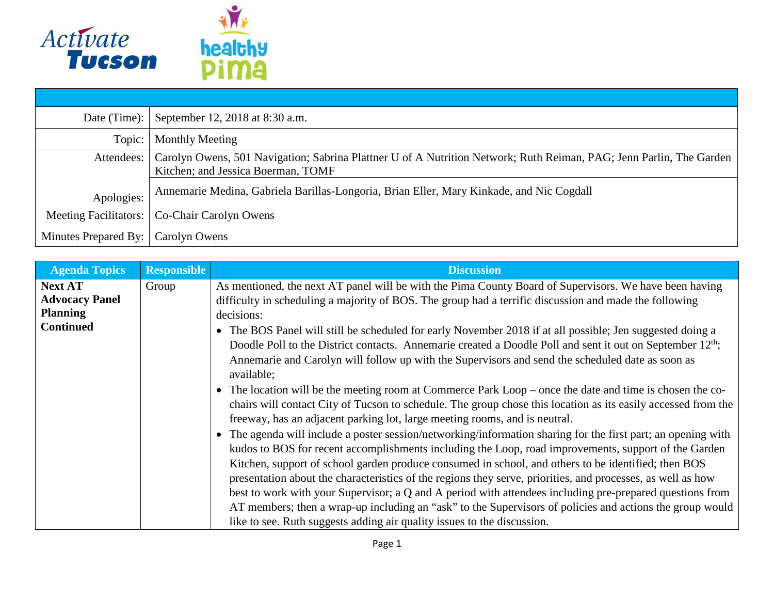

| Date (Time):          | September 12, 2018 at 8:30 a.m.                                                                                     |
|-----------------------|---------------------------------------------------------------------------------------------------------------------|
| Topic:                | Monthly Meeting                                                                                                     |
| Attendees:            | Carolyn Owens, 501 Navigation; Sabrina Plattner U of A Nutrition Network; Ruth Reiman, PAG; Jenn Parlin, The Garden |
|                       | Kitchen; and Jessica Boerman, TOMF                                                                                  |
| Apologies:            | Annemarie Medina, Gabriela Barillas-Longoria, Brian Eller, Mary Kinkade, and Nic Cogdall                            |
| Meeting Facilitators: | Co-Chair Carolyn Owens                                                                                              |
| Minutes Prepared By:  | Carolyn Owens                                                                                                       |

| <b>Responsible</b> | <b>Discussion</b>                                                                                                                                                                                                                                                                                                                                                                                                                                                                                                                                                                                                                                                                                                                                         |
|--------------------|-----------------------------------------------------------------------------------------------------------------------------------------------------------------------------------------------------------------------------------------------------------------------------------------------------------------------------------------------------------------------------------------------------------------------------------------------------------------------------------------------------------------------------------------------------------------------------------------------------------------------------------------------------------------------------------------------------------------------------------------------------------|
| Group              | As mentioned, the next AT panel will be with the Pima County Board of Supervisors. We have been having<br>difficulty in scheduling a majority of BOS. The group had a terrific discussion and made the following                                                                                                                                                                                                                                                                                                                                                                                                                                                                                                                                          |
|                    | decisions:                                                                                                                                                                                                                                                                                                                                                                                                                                                                                                                                                                                                                                                                                                                                                |
|                    | The BOS Panel will still be scheduled for early November 2018 if at all possible; Jen suggested doing a<br>$\bullet$<br>Doodle Poll to the District contacts. Annemarie created a Doodle Poll and sent it out on September 12 <sup>th</sup> ;<br>Annemarie and Carolyn will follow up with the Supervisors and send the scheduled date as soon as<br>available;                                                                                                                                                                                                                                                                                                                                                                                           |
|                    | The location will be the meeting room at Commerce Park Loop – once the date and time is chosen the co-<br>$\bullet$<br>chairs will contact City of Tucson to schedule. The group chose this location as its easily accessed from the<br>freeway, has an adjacent parking lot, large meeting rooms, and is neutral.                                                                                                                                                                                                                                                                                                                                                                                                                                        |
|                    | The agenda will include a poster session/networking/information sharing for the first part; an opening with<br>$\bullet$<br>kudos to BOS for recent accomplishments including the Loop, road improvements, support of the Garden<br>Kitchen, support of school garden produce consumed in school, and others to be identified; then BOS<br>presentation about the characteristics of the regions they serve, priorities, and processes, as well as how<br>best to work with your Supervisor; a Q and A period with attendees including pre-prepared questions from<br>AT members; then a wrap-up including an "ask" to the Supervisors of policies and actions the group would<br>like to see. Ruth suggests adding air quality issues to the discussion. |
|                    |                                                                                                                                                                                                                                                                                                                                                                                                                                                                                                                                                                                                                                                                                                                                                           |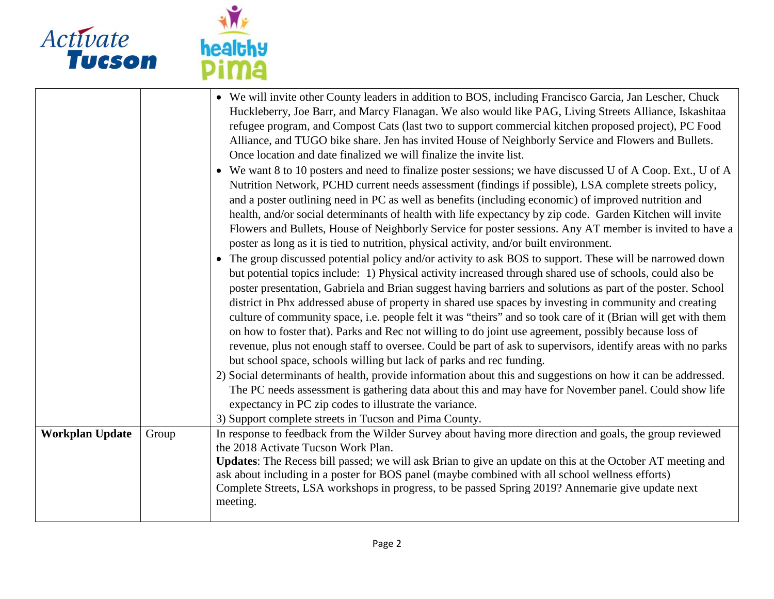

| Activate<br>Tucson     |       | healthy<br><b>Dima</b>                                                                                                                                                                                                                                                                                                                                                                                                                                                                                                                                                                                                                                                                                                                                                                                                                                                                                                                                                                                                                                                                                                                                                                                                                                                                                                                                                                                                                                                                                                                                                                                                                                                                                                                                                                                                                                                                                                                                                                                                                                                                                                                                                                                                                                                                                               |
|------------------------|-------|----------------------------------------------------------------------------------------------------------------------------------------------------------------------------------------------------------------------------------------------------------------------------------------------------------------------------------------------------------------------------------------------------------------------------------------------------------------------------------------------------------------------------------------------------------------------------------------------------------------------------------------------------------------------------------------------------------------------------------------------------------------------------------------------------------------------------------------------------------------------------------------------------------------------------------------------------------------------------------------------------------------------------------------------------------------------------------------------------------------------------------------------------------------------------------------------------------------------------------------------------------------------------------------------------------------------------------------------------------------------------------------------------------------------------------------------------------------------------------------------------------------------------------------------------------------------------------------------------------------------------------------------------------------------------------------------------------------------------------------------------------------------------------------------------------------------------------------------------------------------------------------------------------------------------------------------------------------------------------------------------------------------------------------------------------------------------------------------------------------------------------------------------------------------------------------------------------------------------------------------------------------------------------------------------------------------|
|                        |       | • We will invite other County leaders in addition to BOS, including Francisco Garcia, Jan Lescher, Chuck<br>Huckleberry, Joe Barr, and Marcy Flanagan. We also would like PAG, Living Streets Alliance, Iskashitaa<br>refugee program, and Compost Cats (last two to support commercial kitchen proposed project), PC Food<br>Alliance, and TUGO bike share. Jen has invited House of Neighborly Service and Flowers and Bullets.<br>Once location and date finalized we will finalize the invite list.<br>• We want 8 to 10 posters and need to finalize poster sessions; we have discussed U of A Coop. Ext., U of A<br>Nutrition Network, PCHD current needs assessment (findings if possible), LSA complete streets policy,<br>and a poster outlining need in PC as well as benefits (including economic) of improved nutrition and<br>health, and/or social determinants of health with life expectancy by zip code. Garden Kitchen will invite<br>Flowers and Bullets, House of Neighborly Service for poster sessions. Any AT member is invited to have a<br>poster as long as it is tied to nutrition, physical activity, and/or built environment.<br>• The group discussed potential policy and/or activity to ask BOS to support. These will be narrowed down<br>but potential topics include: 1) Physical activity increased through shared use of schools, could also be<br>poster presentation, Gabriela and Brian suggest having barriers and solutions as part of the poster. School<br>district in Phx addressed abuse of property in shared use spaces by investing in community and creating<br>culture of community space, i.e. people felt it was "theirs" and so took care of it (Brian will get with them<br>on how to foster that). Parks and Rec not willing to do joint use agreement, possibly because loss of<br>revenue, plus not enough staff to oversee. Could be part of ask to supervisors, identify areas with no parks<br>but school space, schools willing but lack of parks and rec funding.<br>2) Social determinants of health, provide information about this and suggestions on how it can be addressed.<br>The PC needs assessment is gathering data about this and may have for November panel. Could show life<br>expectancy in PC zip codes to illustrate the variance. |
|                        |       | 3) Support complete streets in Tucson and Pima County.                                                                                                                                                                                                                                                                                                                                                                                                                                                                                                                                                                                                                                                                                                                                                                                                                                                                                                                                                                                                                                                                                                                                                                                                                                                                                                                                                                                                                                                                                                                                                                                                                                                                                                                                                                                                                                                                                                                                                                                                                                                                                                                                                                                                                                                               |
| <b>Workplan Update</b> | Group | In response to feedback from the Wilder Survey about having more direction and goals, the group reviewed                                                                                                                                                                                                                                                                                                                                                                                                                                                                                                                                                                                                                                                                                                                                                                                                                                                                                                                                                                                                                                                                                                                                                                                                                                                                                                                                                                                                                                                                                                                                                                                                                                                                                                                                                                                                                                                                                                                                                                                                                                                                                                                                                                                                             |
|                        |       | the 2018 Activate Tucson Work Plan.                                                                                                                                                                                                                                                                                                                                                                                                                                                                                                                                                                                                                                                                                                                                                                                                                                                                                                                                                                                                                                                                                                                                                                                                                                                                                                                                                                                                                                                                                                                                                                                                                                                                                                                                                                                                                                                                                                                                                                                                                                                                                                                                                                                                                                                                                  |

**Updates**: The Recess bill passed; we will ask Brian to give an update on this at the October AT meeting and ask about including in a poster for BOS panel (maybe combined with all school wellness efforts) Complete Streets, LSA workshops in progress, to be passed Spring 2019? Annemarie give update next meeting.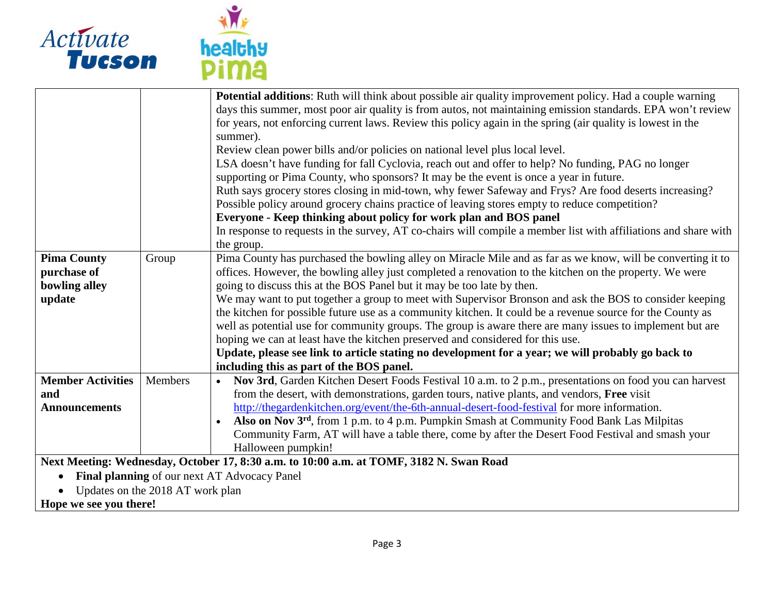

| <b>healthy</b> |  |
|----------------|--|
| Ш              |  |

|                                                                                         |                                  | Potential additions: Ruth will think about possible air quality improvement policy. Had a couple warning        |
|-----------------------------------------------------------------------------------------|----------------------------------|-----------------------------------------------------------------------------------------------------------------|
|                                                                                         |                                  |                                                                                                                 |
|                                                                                         |                                  | days this summer, most poor air quality is from autos, not maintaining emission standards. EPA won't review     |
|                                                                                         |                                  | for years, not enforcing current laws. Review this policy again in the spring (air quality is lowest in the     |
|                                                                                         |                                  | summer).                                                                                                        |
|                                                                                         |                                  | Review clean power bills and/or policies on national level plus local level.                                    |
|                                                                                         |                                  | LSA doesn't have funding for fall Cyclovia, reach out and offer to help? No funding, PAG no longer              |
|                                                                                         |                                  | supporting or Pima County, who sponsors? It may be the event is once a year in future.                          |
|                                                                                         |                                  | Ruth says grocery stores closing in mid-town, why fewer Safeway and Frys? Are food deserts increasing?          |
|                                                                                         |                                  | Possible policy around grocery chains practice of leaving stores empty to reduce competition?                   |
|                                                                                         |                                  | Everyone - Keep thinking about policy for work plan and BOS panel                                               |
|                                                                                         |                                  | In response to requests in the survey, AT co-chairs will compile a member list with affiliations and share with |
|                                                                                         |                                  | the group.                                                                                                      |
| <b>Pima County</b>                                                                      | Group                            | Pima County has purchased the bowling alley on Miracle Mile and as far as we know, will be converting it to     |
| purchase of                                                                             |                                  | offices. However, the bowling alley just completed a renovation to the kitchen on the property. We were         |
| bowling alley                                                                           |                                  | going to discuss this at the BOS Panel but it may be too late by then.                                          |
| update                                                                                  |                                  | We may want to put together a group to meet with Supervisor Bronson and ask the BOS to consider keeping         |
|                                                                                         |                                  | the kitchen for possible future use as a community kitchen. It could be a revenue source for the County as      |
|                                                                                         |                                  | well as potential use for community groups. The group is aware there are many issues to implement but are       |
|                                                                                         |                                  | hoping we can at least have the kitchen preserved and considered for this use.                                  |
|                                                                                         |                                  | Update, please see link to article stating no development for a year; we will probably go back to               |
|                                                                                         |                                  | including this as part of the BOS panel.                                                                        |
| <b>Member Activities</b>                                                                | Members                          | Nov 3rd, Garden Kitchen Desert Foods Festival 10 a.m. to 2 p.m., presentations on food you can harvest          |
| and                                                                                     |                                  | from the desert, with demonstrations, garden tours, native plants, and vendors, Free visit                      |
| <b>Announcements</b>                                                                    |                                  | http://thegardenkitchen.org/event/the-6th-annual-desert-food-festival for more information.                     |
|                                                                                         |                                  | Also on Nov 3 <sup>rd</sup> , from 1 p.m. to 4 p.m. Pumpkin Smash at Community Food Bank Las Milpitas           |
|                                                                                         |                                  | Community Farm, AT will have a table there, come by after the Desert Food Festival and smash your               |
|                                                                                         |                                  | Halloween pumpkin!                                                                                              |
| Next Meeting: Wednesday, October 17, 8:30 a.m. to 10:00 a.m. at TOMF, 3182 N. Swan Road |                                  |                                                                                                                 |
| Final planning of our next AT Advocacy Panel                                            |                                  |                                                                                                                 |
| $\bullet$                                                                               | Updates on the 2018 AT work plan |                                                                                                                 |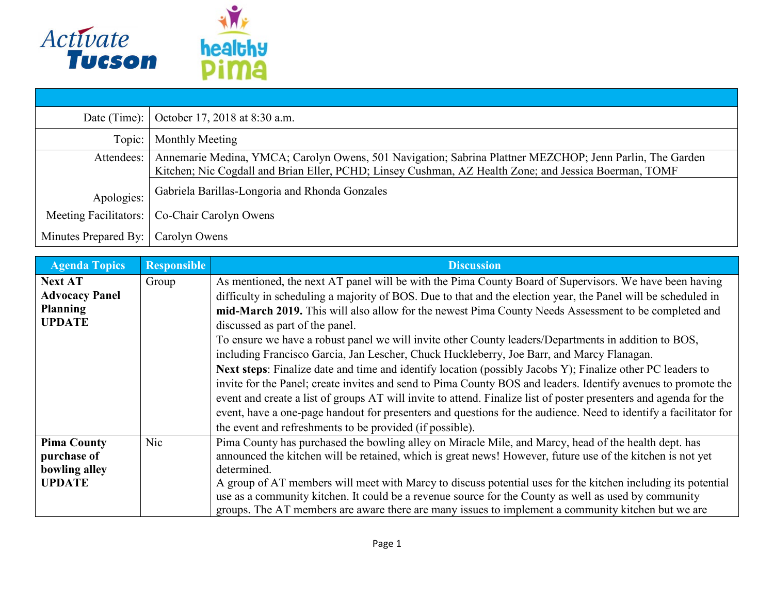

| Date (Time):                 | October 17, 2018 at 8:30 a.m.                                                                                                                                                                                     |
|------------------------------|-------------------------------------------------------------------------------------------------------------------------------------------------------------------------------------------------------------------|
| Topic:                       | Monthly Meeting                                                                                                                                                                                                   |
| Attendees:                   | Annemarie Medina, YMCA; Carolyn Owens, 501 Navigation; Sabrina Plattner MEZCHOP; Jenn Parlin, The Garden<br>Kitchen; Nic Cogdall and Brian Eller, PCHD; Linsey Cushman, AZ Health Zone; and Jessica Boerman, TOMF |
| Apologies:                   | Gabriela Barillas-Longoria and Rhonda Gonzales                                                                                                                                                                    |
| <b>Meeting Facilitators:</b> | Co-Chair Carolyn Owens                                                                                                                                                                                            |
| Minutes Prepared By:         | Carolyn Owens                                                                                                                                                                                                     |

| <b>Agenda Topics</b>                                                        | <b>Responsible</b> | <b>Discussion</b>                                                                                                                                                                                                                                                                                                                                                                                                                                                                                                                                                                                                                                                                                                                                                                                                                                                                                                                                                                                                                                                                                           |
|-----------------------------------------------------------------------------|--------------------|-------------------------------------------------------------------------------------------------------------------------------------------------------------------------------------------------------------------------------------------------------------------------------------------------------------------------------------------------------------------------------------------------------------------------------------------------------------------------------------------------------------------------------------------------------------------------------------------------------------------------------------------------------------------------------------------------------------------------------------------------------------------------------------------------------------------------------------------------------------------------------------------------------------------------------------------------------------------------------------------------------------------------------------------------------------------------------------------------------------|
| <b>Next AT</b><br><b>Advocacy Panel</b><br><b>Planning</b><br><b>UPDATE</b> | Group              | As mentioned, the next AT panel will be with the Pima County Board of Supervisors. We have been having<br>difficulty in scheduling a majority of BOS. Due to that and the election year, the Panel will be scheduled in<br>mid-March 2019. This will also allow for the newest Pima County Needs Assessment to be completed and<br>discussed as part of the panel.<br>To ensure we have a robust panel we will invite other County leaders/Departments in addition to BOS,<br>including Francisco Garcia, Jan Lescher, Chuck Huckleberry, Joe Barr, and Marcy Flanagan.<br>Next steps: Finalize date and time and identify location (possibly Jacobs Y); Finalize other PC leaders to<br>invite for the Panel; create invites and send to Pima County BOS and leaders. Identify avenues to promote the<br>event and create a list of groups AT will invite to attend. Finalize list of poster presenters and agenda for the<br>event, have a one-page handout for presenters and questions for the audience. Need to identify a facilitator for<br>the event and refreshments to be provided (if possible). |
| <b>Pima County</b><br>purchase of<br>bowling alley<br><b>UPDATE</b>         | <b>Nic</b>         | Pima County has purchased the bowling alley on Miracle Mile, and Marcy, head of the health dept. has<br>announced the kitchen will be retained, which is great news! However, future use of the kitchen is not yet<br>determined.<br>A group of AT members will meet with Marcy to discuss potential uses for the kitchen including its potential<br>use as a community kitchen. It could be a revenue source for the County as well as used by community<br>groups. The AT members are aware there are many issues to implement a community kitchen but we are                                                                                                                                                                                                                                                                                                                                                                                                                                                                                                                                             |